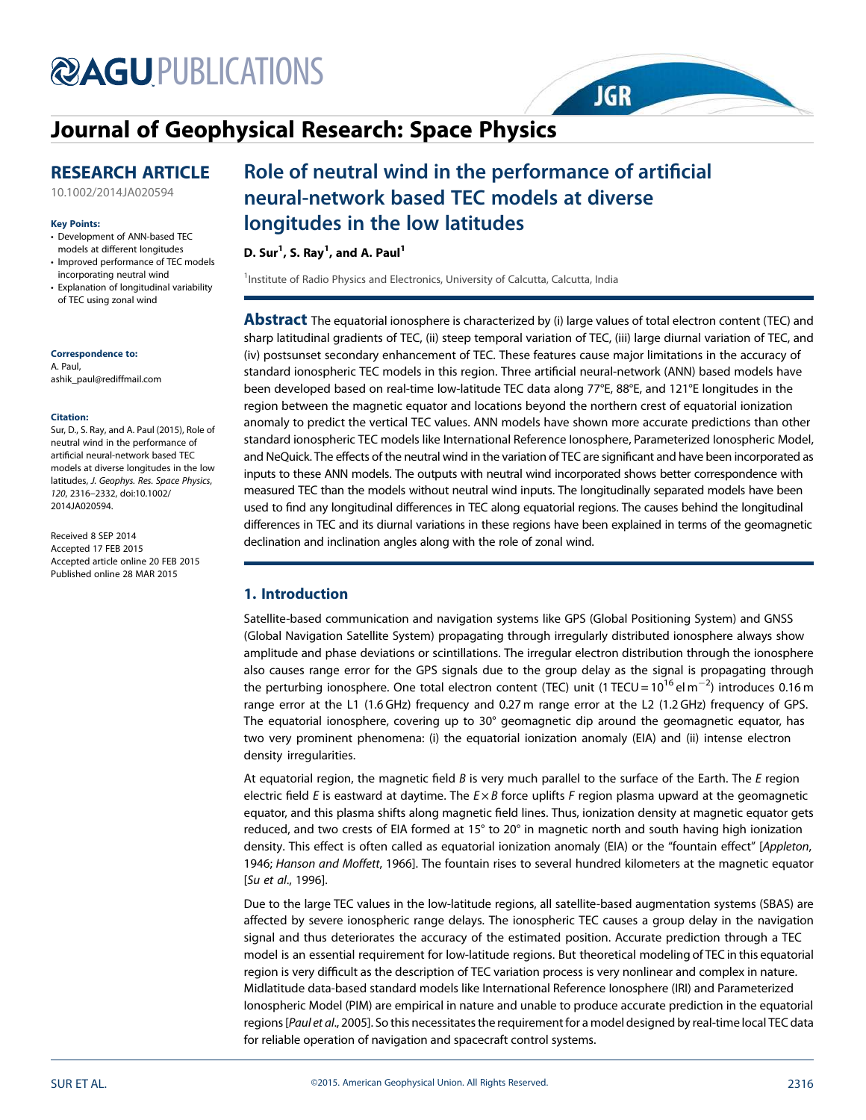# **@AGUPUBLICATIONS**

## Journal of Geophysical Research: Space Physics

## RESEARCH ARTICLE

10.1002/2014JA020594

#### Key Points:

- Development of ANN-based TEC models at different longitudes
- Improved performance of TEC models incorporating neutral wind
- Explanation of longitudinal variability of TEC using zonal wind

### Correspondence to:

A. Paul, ashik\_paul@rediffmail.com

#### Citation:

Sur, D., S. Ray, and A. Paul (2015), Role of neutral wind in the performance of artificial neural-network based TEC models at diverse longitudes in the low latitudes, *J. Geophys. Res. Space Physics*, *120*, 2316–2332, doi:10.1002/ 2014JA020594.

Received 8 SEP 2014 Accepted 17 FEB 2015 Accepted article online 20 FEB 2015 Published online 28 MAR 2015

## Role of neutral wind in the performance of artificial neural-network based TEC models at diverse longitudes in the low latitudes

D. Sur $^1$ , S. Ray $^1$ , and A. Paul $^1$ 

<sup>1</sup>Institute of Radio Physics and Electronics, University of Calcutta, Calcutta, India

**Abstract** The equatorial ionosphere is characterized by (i) large values of total electron content (TEC) and sharp latitudinal gradients of TEC, (ii) steep temporal variation of TEC, (iii) large diurnal variation of TEC, and (iv) postsunset secondary enhancement of TEC. These features cause major limitations in the accuracy of standard ionospheric TEC models in this region. Three artificial neural-network (ANN) based models have been developed based on real-time low-latitude TEC data along 77°E, 88°E, and 121°E longitudes in the region between the magnetic equator and locations beyond the northern crest of equatorial ionization anomaly to predict the vertical TEC values. ANN models have shown more accurate predictions than other standard ionospheric TEC models like International Reference Ionosphere, Parameterized Ionospheric Model, and NeQuick. The effects of the neutral wind in the variation of TEC are significant and have been incorporated as inputs to these ANN models. The outputs with neutral wind incorporated shows better correspondence with measured TEC than the models without neutral wind inputs. The longitudinally separated models have been used to find any longitudinal differences in TEC along equatorial regions. The causes behind the longitudinal differences in TEC and its diurnal variations in these regions have been explained in terms of the geomagnetic declination and inclination angles along with the role of zonal wind.

**JGR** 

## 1. Introduction

Satellite-based communication and navigation systems like GPS (Global Positioning System) and GNSS (Global Navigation Satellite System) propagating through irregularly distributed ionosphere always show amplitude and phase deviations or scintillations. The irregular electron distribution through the ionosphere also causes range error for the GPS signals due to the group delay as the signal is propagating through the perturbing ionosphere. One total electron content (TEC) unit (1 TECU = 10<sup>16</sup> el m $^{-2}$ ) introduces 0.16 m range error at the L1 (1.6 GHz) frequency and 0.27 m range error at the L2 (1.2 GHz) frequency of GPS. The equatorial ionosphere, covering up to 30° geomagnetic dip around the geomagnetic equator, has two very prominent phenomena: (i) the equatorial ionization anomaly (EIA) and (ii) intense electron density irregularities.

At equatorial region, the magnetic field *B* is very much parallel to the surface of the Earth. The *E* region electric field *E* is eastward at daytime. The *E* × *B* force uplifts *F* region plasma upward at the geomagnetic equator, and this plasma shifts along magnetic field lines. Thus, ionization density at magnetic equator gets reduced, and two crests of EIA formed at 15° to 20° in magnetic north and south having high ionization density. This effect is often called as equatorial ionization anomaly (EIA) or the "fountain effect" [*Appleton*, 1946; *Hanson and Moffett*, 1966]. The fountain rises to several hundred kilometers at the magnetic equator [*Su et al*., 1996].

Due to the large TEC values in the low-latitude regions, all satellite-based augmentation systems (SBAS) are affected by severe ionospheric range delays. The ionospheric TEC causes a group delay in the navigation signal and thus deteriorates the accuracy of the estimated position. Accurate prediction through a TEC model is an essential requirement for low-latitude regions. But theoretical modeling of TEC in this equatorial region is very difficult as the description of TEC variation process is very nonlinear and complex in nature. Midlatitude data-based standard models like International Reference Ionosphere (IRI) and Parameterized Ionospheric Model (PIM) are empirical in nature and unable to produce accurate prediction in the equatorial regions [*Paul et al*., 2005]. So this necessitates the requirement for a model designed by real-time local TEC data for reliable operation of navigation and spacecraft control systems.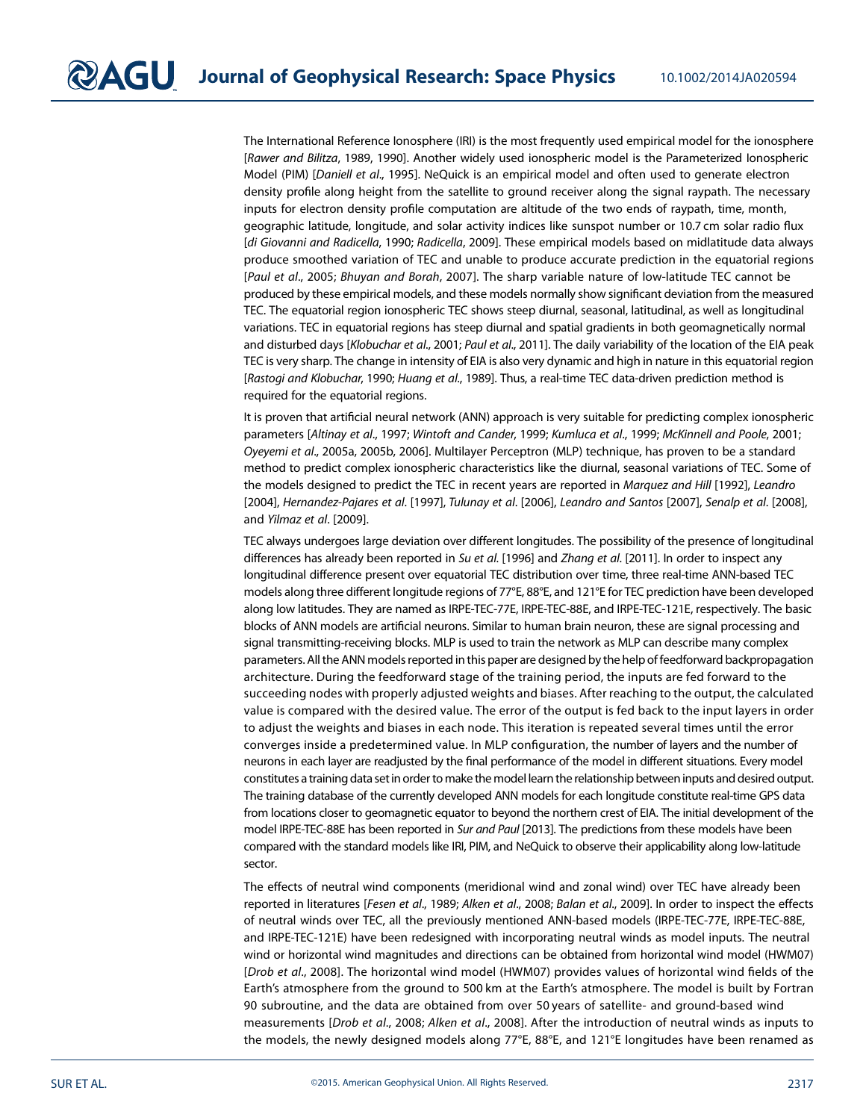The International Reference Ionosphere (IRI) is the most frequently used empirical model for the ionosphere [*Rawer and Bilitza*, 1989, 1990]. Another widely used ionospheric model is the Parameterized Ionospheric Model (PIM) [*Daniell et al*., 1995]. NeQuick is an empirical model and often used to generate electron density profile along height from the satellite to ground receiver along the signal raypath. The necessary inputs for electron density profile computation are altitude of the two ends of raypath, time, month, geographic latitude, longitude, and solar activity indices like sunspot number or 10.7 cm solar radio flux [*di Giovanni and Radicella*, 1990; *Radicella*, 2009]. These empirical models based on midlatitude data always produce smoothed variation of TEC and unable to produce accurate prediction in the equatorial regions [*Paul et al*., 2005; *Bhuyan and Borah*, 2007]. The sharp variable nature of low-latitude TEC cannot be produced by these empirical models, and these models normally show significant deviation from the measured TEC. The equatorial region ionospheric TEC shows steep diurnal, seasonal, latitudinal, as well as longitudinal variations. TEC in equatorial regions has steep diurnal and spatial gradients in both geomagnetically normal and disturbed days [*Klobuchar et al*., 2001; *Paul et al*., 2011]. The daily variability of the location of the EIA peak TEC is very sharp. The change in intensity of EIA is also very dynamic and high in nature in this equatorial region [*Rastogi and Klobuchar*, 1990; *Huang et al*., 1989]. Thus, a real-time TEC data-driven prediction method is required for the equatorial regions.

It is proven that artificial neural network (ANN) approach is very suitable for predicting complex ionospheric parameters [*Altinay et al*., 1997; *Wintoft and Cander*, 1999; *Kumluca et al*., 1999; *McKinnell and Poole*, 2001; *Oyeyemi et al*., 2005a, 2005b, 2006]. Multilayer Perceptron (MLP) technique, has proven to be a standard method to predict complex ionospheric characteristics like the diurnal, seasonal variations of TEC. Some of the models designed to predict the TEC in recent years are reported in *Marquez and Hill* [1992], *Leandro* [2004], *Hernandez-Pajares et al*. [1997], *Tulunay et al*. [2006], *Leandro and Santos* [2007], *Senalp et al*. [2008], and *Yilmaz et al*. [2009].

TEC always undergoes large deviation over different longitudes. The possibility of the presence of longitudinal differences has already been reported in *Su et al*. [1996] and *Zhang et al*. [2011]. In order to inspect any longitudinal difference present over equatorial TEC distribution over time, three real-time ANN-based TEC models along three different longitude regions of 77°E, 88°E, and 121°E for TEC prediction have been developed along low latitudes. They are named as IRPE-TEC-77E, IRPE-TEC-88E, and IRPE-TEC-121E, respectively. The basic blocks of ANN models are artificial neurons. Similar to human brain neuron, these are signal processing and signal transmitting-receiving blocks. MLP is used to train the network as MLP can describe many complex parameters. All the ANN models reported in this paper are designed by the help offeedforward backpropagation architecture. During the feedforward stage of the training period, the inputs are fed forward to the succeeding nodes with properly adjusted weights and biases. After reaching to the output, the calculated value is compared with the desired value. The error of the output is fed back to the input layers in order to adjust the weights and biases in each node. This iteration is repeated several times until the error converges inside a predetermined value. In MLP configuration, the number of layers and the number of neurons in each layer are readjusted by the final performance of the model in different situations. Every model constitutes a training data set in order to make the model learn the relationship between inputs and desired output. The training database of the currently developed ANN models for each longitude constitute real-time GPS data from locations closer to geomagnetic equator to beyond the northern crest of EIA. The initial development of the model IRPE-TEC-88E has been reported in *Sur and Paul* [2013]. The predictions from these models have been compared with the standard models like IRI, PIM, and NeQuick to observe their applicability along low-latitude sector.

The effects of neutral wind components (meridional wind and zonal wind) over TEC have already been reported in literatures [*Fesen et al*., 1989; *Alken et al*., 2008; *Balan et al*., 2009]. In order to inspect the effects of neutral winds over TEC, all the previously mentioned ANN-based models (IRPE-TEC-77E, IRPE-TEC-88E, and IRPE-TEC-121E) have been redesigned with incorporating neutral winds as model inputs. The neutral wind or horizontal wind magnitudes and directions can be obtained from horizontal wind model (HWM07) [*Drob et al*., 2008]. The horizontal wind model (HWM07) provides values of horizontal wind fields of the Earth's atmosphere from the ground to 500 km at the Earth's atmosphere. The model is built by Fortran 90 subroutine, and the data are obtained from over 50 years of satellite- and ground-based wind measurements [*Drob et al*., 2008; *Alken et al*., 2008]. After the introduction of neutral winds as inputs to the models, the newly designed models along 77°E, 88°E, and 121°E longitudes have been renamed as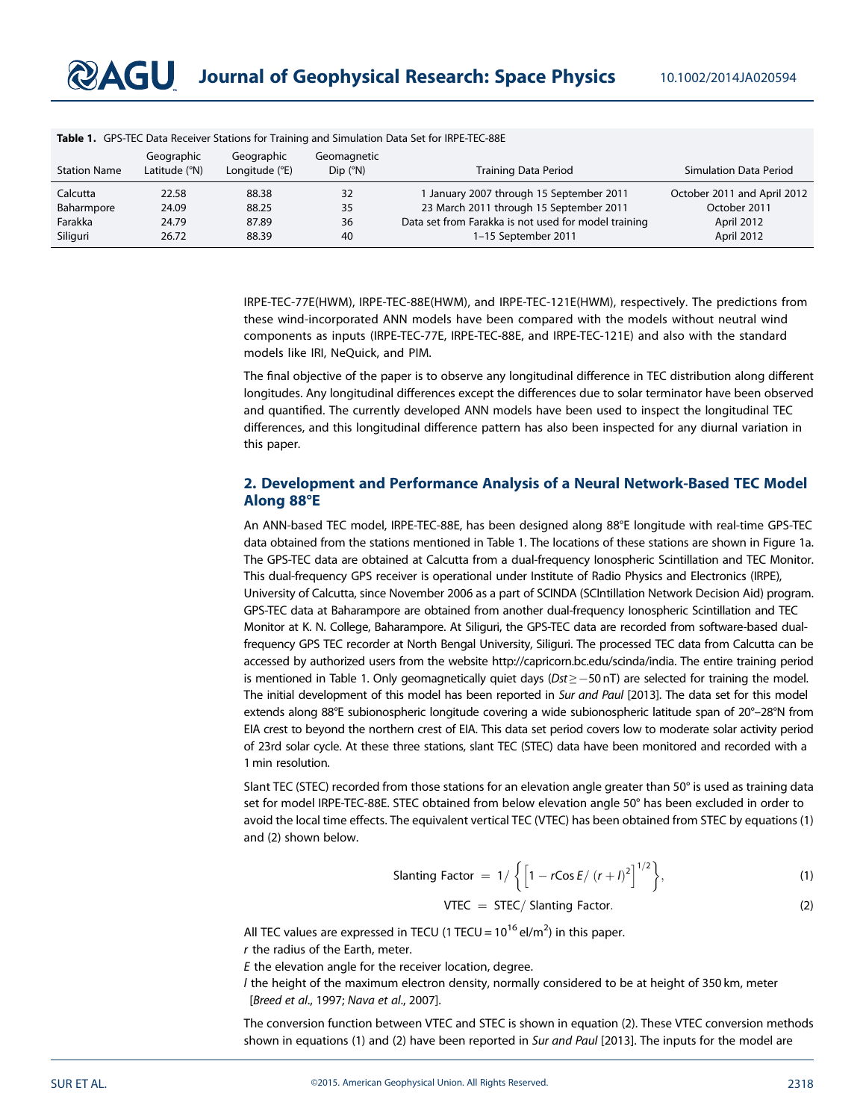| <b>Station Name</b> | Geographic<br>Latitude (°N) | Geographic<br>Longitude (°E) | Geomagnetic<br>$Dip$ ( $\degree N$ ) | Training Data Period                                 | Simulation Data Period      |
|---------------------|-----------------------------|------------------------------|--------------------------------------|------------------------------------------------------|-----------------------------|
| Calcutta            | 22.58                       | 88.38                        | 32                                   | 1 January 2007 through 15 September 2011             | October 2011 and April 2012 |
| Baharmpore          | 24.09                       | 88.25                        | 35                                   | 23 March 2011 through 15 September 2011              | October 2011                |
| Farakka             | 24.79                       | 87.89                        | 36                                   | Data set from Farakka is not used for model training | April 2012                  |
| Siliguri            | 26.72                       | 88.39                        | 40                                   | 1-15 September 2011                                  | April 2012                  |

Table 1. GPS-TEC Data Receiver Stations for Training and Simulation Data Set for IRPE-TEC-88E

IRPE-TEC-77E(HWM), IRPE-TEC-88E(HWM), and IRPE-TEC-121E(HWM), respectively. The predictions from these wind-incorporated ANN models have been compared with the models without neutral wind components as inputs (IRPE-TEC-77E, IRPE-TEC-88E, and IRPE-TEC-121E) and also with the standard models like IRI, NeQuick, and PIM.

The final objective of the paper is to observe any longitudinal difference in TEC distribution along different longitudes. Any longitudinal differences except the differences due to solar terminator have been observed and quantified. The currently developed ANN models have been used to inspect the longitudinal TEC differences, and this longitudinal difference pattern has also been inspected for any diurnal variation in this paper.

## 2. Development and Performance Analysis of a Neural Network-Based TEC Model Along 88°E

An ANN-based TEC model, IRPE-TEC-88E, has been designed along 88°E longitude with real-time GPS-TEC data obtained from the stations mentioned in Table 1. The locations of these stations are shown in Figure 1a. The GPS-TEC data are obtained at Calcutta from a dual-frequency Ionospheric Scintillation and TEC Monitor. This dual-frequency GPS receiver is operational under Institute of Radio Physics and Electronics (IRPE), University of Calcutta, since November 2006 as a part of SCINDA (SCIntillation Network Decision Aid) program. GPS-TEC data at Baharampore are obtained from another dual-frequency Ionospheric Scintillation and TEC Monitor at K. N. College, Baharampore. At Siliguri, the GPS-TEC data are recorded from software-based dualfrequency GPS TEC recorder at North Bengal University, Siliguri. The processed TEC data from Calcutta can be accessed by authorized users from the website http://capricorn.bc.edu/scinda/india. The entire training period is mentioned in Table 1. Only geomagnetically quiet days ( $Dst \ge -50$  nT) are selected for training the model. The initial development of this model has been reported in *Sur and Paul* [2013]. The data set for this model extends along 88°E subionospheric longitude covering a wide subionospheric latitude span of 20°–28°N from EIA crest to beyond the northern crest of EIA. This data set period covers low to moderate solar activity period of 23rd solar cycle. At these three stations, slant TEC (STEC) data have been monitored and recorded with a 1 min resolution.

Slant TEC (STEC) recorded from those stations for an elevation angle greater than 50° is used as training data set for model IRPE-TEC-88E. STEC obtained from below elevation angle 50° has been excluded in order to avoid the local time effects. The equivalent vertical TEC (VTEC) has been obtained from STEC by equations (1) and (2) shown below.

Slanting Factor = 
$$
1/\left\{ \left[ 1 - r\cos E/(r+l)^2 \right]^{1/2} \right\},
$$
 (1)

$$
VTEC = STEC / Slanting Factor.
$$
 (2)

All TEC values are expressed in TECU (1 TECU =  $10^{16}$  el/m<sup>2</sup>) in this paper. *r* the radius of the Earth, meter. *E* the elevation angle for the receiver location, degree.

*l* the height of the maximum electron density, normally considered to be at height of 350 km, meter [*Breed et al*., 1997; *Nava et al*., 2007].

The conversion function between VTEC and STEC is shown in equation (2). These VTEC conversion methods shown in equations (1) and (2) have been reported in *Sur and Paul* [2013]. The inputs for the model are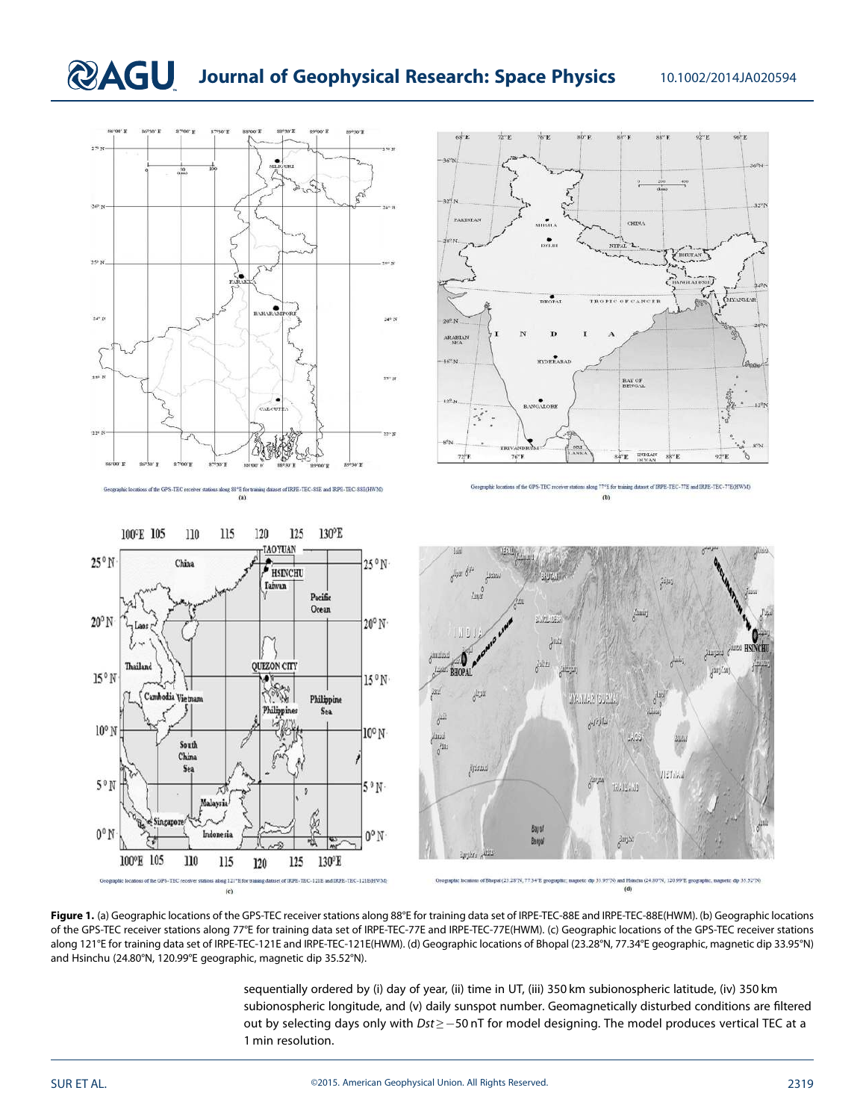# **QAGU** Journal of Geophysical Research: Space Physics 10.1002/2014JA020594



Figure 1. (a) Geographic locations of the GPS-TEC receiver stations along 88°E for training data set of IRPE-TEC-88E and IRPE-TEC-88E(HWM). (b) Geographic locations of the GPS-TEC receiver stations along 77°E for training data set of IRPE-TEC-77E and IRPE-TEC-77E(HWM). (c) Geographic locations of the GPS-TEC receiver stations along 121°E for training data set of IRPE-TEC-121E and IRPE-TEC-121E(HWM). (d) Geographic locations of Bhopal (23.28°N, 77.34°E geographic, magnetic dip 33.95°N) and Hsinchu (24.80°N, 120.99°E geographic, magnetic dip 35.52°N).

> sequentially ordered by (i) day of year, (ii) time in UT, (iii) 350 km subionospheric latitude, (iv) 350 km subionospheric longitude, and (v) daily sunspot number. Geomagnetically disturbed conditions are filtered out by selecting days only with *Dst* ≥ 50 nT for model designing. The model produces vertical TEC at a 1 min resolution.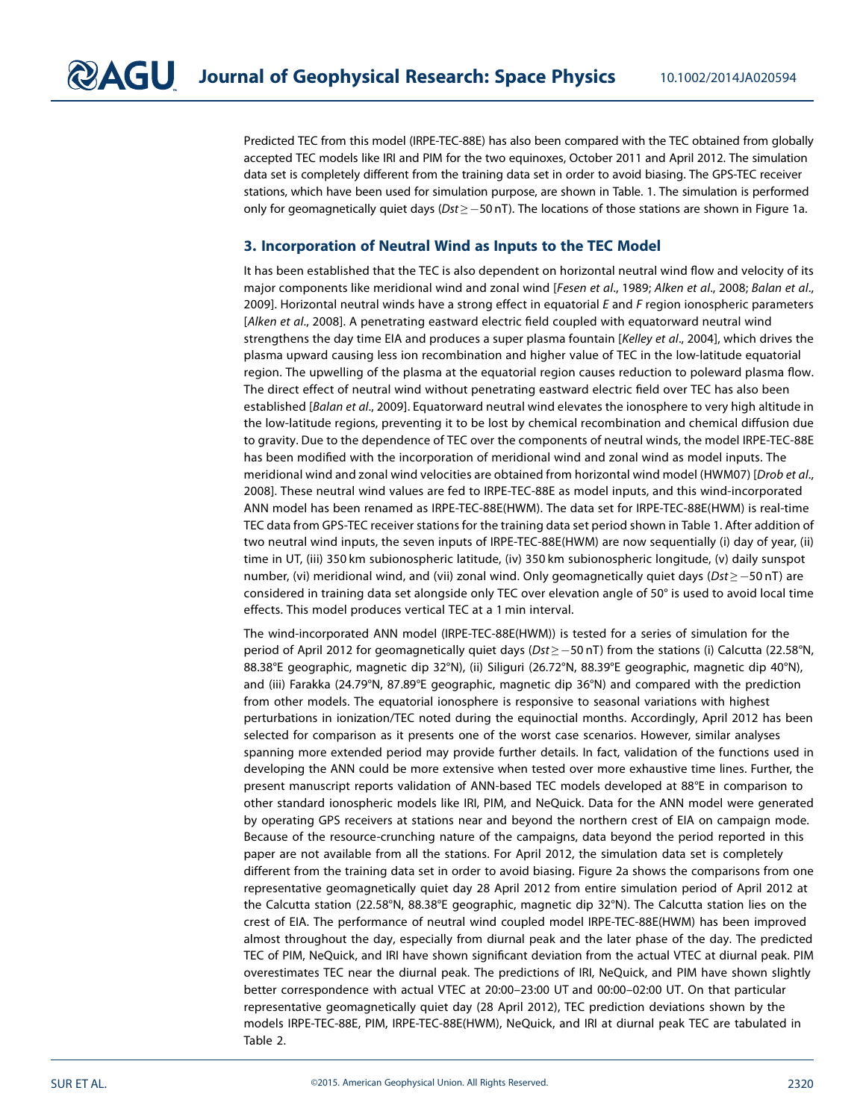Predicted TEC from this model (IRPE-TEC-88E) has also been compared with the TEC obtained from globally accepted TEC models like IRI and PIM for the two equinoxes, October 2011 and April 2012. The simulation data set is completely different from the training data set in order to avoid biasing. The GPS-TEC receiver stations, which have been used for simulation purpose, are shown in Table. 1. The simulation is performed only for geomagnetically quiet days (*Dst* ≥ 50 nT). The locations of those stations are shown in Figure 1a.

### 3. Incorporation of Neutral Wind as Inputs to the TEC Model

It has been established that the TEC is also dependent on horizontal neutral wind flow and velocity of its major components like meridional wind and zonal wind [*Fesen et al*., 1989; *Alken et al*., 2008; *Balan et al*., 2009]. Horizontal neutral winds have a strong effect in equatorial *E* and *F* region ionospheric parameters [*Alken et al*., 2008]. A penetrating eastward electric field coupled with equatorward neutral wind strengthens the day time EIA and produces a super plasma fountain [*Kelley et al*., 2004], which drives the plasma upward causing less ion recombination and higher value of TEC in the low-latitude equatorial region. The upwelling of the plasma at the equatorial region causes reduction to poleward plasma flow. The direct effect of neutral wind without penetrating eastward electric field over TEC has also been established [*Balan et al*., 2009]. Equatorward neutral wind elevates the ionosphere to very high altitude in the low-latitude regions, preventing it to be lost by chemical recombination and chemical diffusion due to gravity. Due to the dependence of TEC over the components of neutral winds, the model IRPE-TEC-88E has been modified with the incorporation of meridional wind and zonal wind as model inputs. The meridional wind and zonal wind velocities are obtained from horizontal wind model (HWM07) [*Drob et al*., 2008]. These neutral wind values are fed to IRPE-TEC-88E as model inputs, and this wind-incorporated ANN model has been renamed as IRPE-TEC-88E(HWM). The data set for IRPE-TEC-88E(HWM) is real-time TEC data from GPS-TEC receiver stations for the training data set period shown in Table 1. After addition of two neutral wind inputs, the seven inputs of IRPE-TEC-88E(HWM) are now sequentially (i) day of year, (ii) time in UT, (iii) 350 km subionospheric latitude, (iv) 350 km subionospheric longitude, (v) daily sunspot number, (vi) meridional wind, and (vii) zonal wind. Only geomagnetically quiet days (*Dst* ≥ −50 nT) are considered in training data set alongside only TEC over elevation angle of 50° is used to avoid local time effects. This model produces vertical TEC at a 1 min interval.

The wind-incorporated ANN model (IRPE-TEC-88E(HWM)) is tested for a series of simulation for the period of April 2012 for geomagnetically quiet days (*Dst* ≥ −50 nT) from the stations (i) Calcutta (22.58°N, 88.38°E geographic, magnetic dip 32°N), (ii) Siliguri (26.72°N, 88.39°E geographic, magnetic dip 40°N), and (iii) Farakka (24.79°N, 87.89°E geographic, magnetic dip 36°N) and compared with the prediction from other models. The equatorial ionosphere is responsive to seasonal variations with highest perturbations in ionization/TEC noted during the equinoctial months. Accordingly, April 2012 has been selected for comparison as it presents one of the worst case scenarios. However, similar analyses spanning more extended period may provide further details. In fact, validation of the functions used in developing the ANN could be more extensive when tested over more exhaustive time lines. Further, the present manuscript reports validation of ANN-based TEC models developed at 88°E in comparison to other standard ionospheric models like IRI, PIM, and NeQuick. Data for the ANN model were generated by operating GPS receivers at stations near and beyond the northern crest of EIA on campaign mode. Because of the resource-crunching nature of the campaigns, data beyond the period reported in this paper are not available from all the stations. For April 2012, the simulation data set is completely different from the training data set in order to avoid biasing. Figure 2a shows the comparisons from one representative geomagnetically quiet day 28 April 2012 from entire simulation period of April 2012 at the Calcutta station (22.58°N, 88.38°E geographic, magnetic dip 32°N). The Calcutta station lies on the crest of EIA. The performance of neutral wind coupled model IRPE-TEC-88E(HWM) has been improved almost throughout the day, especially from diurnal peak and the later phase of the day. The predicted TEC of PIM, NeQuick, and IRI have shown significant deviation from the actual VTEC at diurnal peak. PIM overestimates TEC near the diurnal peak. The predictions of IRI, NeQuick, and PIM have shown slightly better correspondence with actual VTEC at 20:00–23:00 UT and 00:00–02:00 UT. On that particular representative geomagnetically quiet day (28 April 2012), TEC prediction deviations shown by the models IRPE-TEC-88E, PIM, IRPE-TEC-88E(HWM), NeQuick, and IRI at diurnal peak TEC are tabulated in Table 2.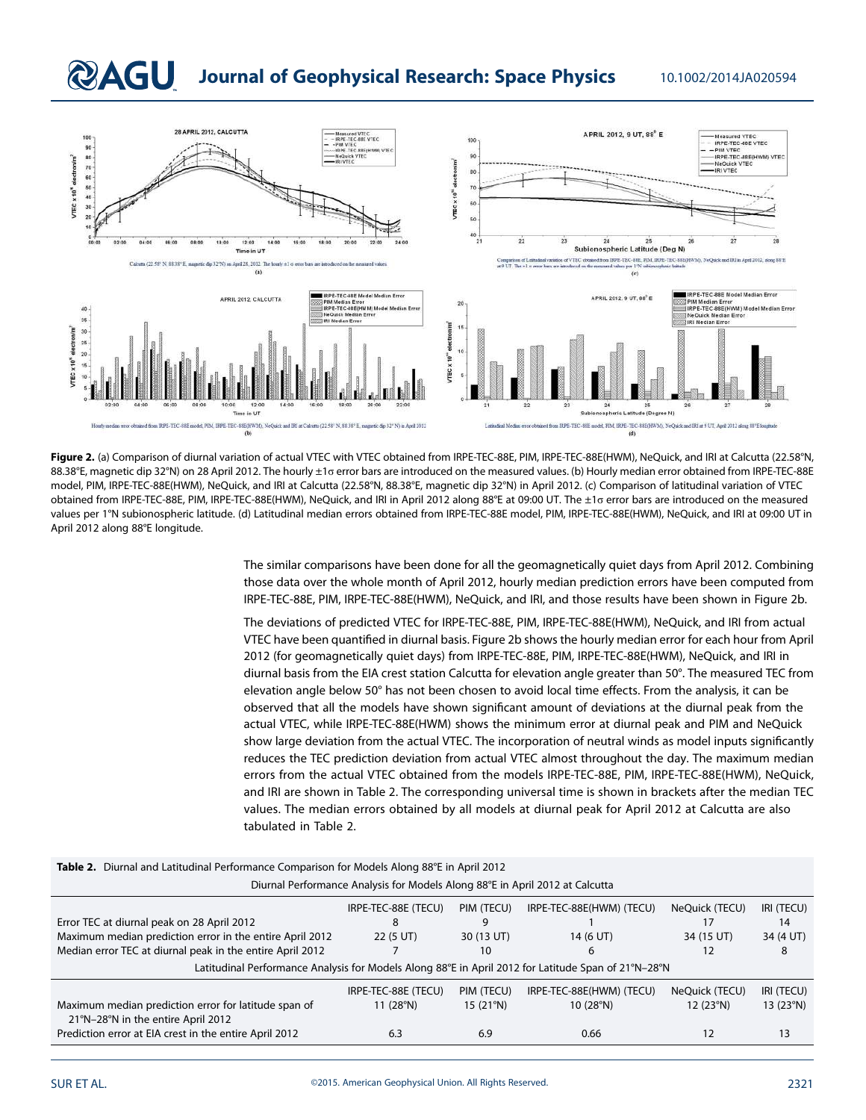## **QAGU** Journal of Geophysical Research: Space Physics 10.1002/2014JA020594



Figure 2. (a) Comparison of diurnal variation of actual VTEC with VTEC obtained from IRPE-TEC-88E, PIM, IRPE-TEC-88E(HWM), NeQuick, and IRI at Calcutta (22.58°N, 88.38°E, magnetic dip 32°N) on 28 April 2012. The hourly ±1σ error bars are introduced on the measured values. (b) Hourly median error obtained from IRPE-TEC-88E model, PIM, IRPE-TEC-88E(HWM), NeQuick, and IRI at Calcutta (22.58°N, 88.38°E, magnetic dip 32°N) in April 2012. (c) Comparison of latitudinal variation of VTEC obtained from IRPE-TEC-88E, PIM, IRPE-TEC-88E(HWM), NeQuick, and IRI in April 2012 along 88°E at 09:00 UT. The ±1σ error bars are introduced on the measured values per 1°N subionospheric latitude. (d) Latitudinal median errors obtained from IRPE-TEC-88E model, PIM, IRPE-TEC-88E(HWM), NeQuick, and IRI at 09:00 UT in April 2012 along 88°E longitude.

The similar comparisons have been done for all the geomagnetically quiet days from April 2012. Combining those data over the whole month of April 2012, hourly median prediction errors have been computed from IRPE-TEC-88E, PIM, IRPE-TEC-88E(HWM), NeQuick, and IRI, and those results have been shown in Figure 2b.

The deviations of predicted VTEC for IRPE-TEC-88E, PIM, IRPE-TEC-88E(HWM), NeQuick, and IRI from actual VTEC have been quantified in diurnal basis. Figure 2b shows the hourly median error for each hour from April 2012 (for geomagnetically quiet days) from IRPE-TEC-88E, PIM, IRPE-TEC-88E(HWM), NeQuick, and IRI in diurnal basis from the EIA crest station Calcutta for elevation angle greater than 50°. The measured TEC from elevation angle below 50° has not been chosen to avoid local time effects. From the analysis, it can be observed that all the models have shown significant amount of deviations at the diurnal peak from the actual VTEC, while IRPE-TEC-88E(HWM) shows the minimum error at diurnal peak and PIM and NeQuick show large deviation from the actual VTEC. The incorporation of neutral winds as model inputs significantly reduces the TEC prediction deviation from actual VTEC almost throughout the day. The maximum median errors from the actual VTEC obtained from the models IRPE-TEC-88E, PIM, IRPE-TEC-88E(HWM), NeQuick, and IRI are shown in Table 2. The corresponding universal time is shown in brackets after the median TEC values. The median errors obtained by all models at diurnal peak for April 2012 at Calcutta are also tabulated in Table 2.

| Table 2. Diurnal and Latitudinal Performance Comparison for Models Along 88°E in April 2012                                                                  |                                  |                        |                                      |                            |                           |  |  |  |
|--------------------------------------------------------------------------------------------------------------------------------------------------------------|----------------------------------|------------------------|--------------------------------------|----------------------------|---------------------------|--|--|--|
| Diurnal Performance Analysis for Models Along 88°E in April 2012 at Calcutta                                                                                 |                                  |                        |                                      |                            |                           |  |  |  |
| PIM (TECU)<br>IRPE-TEC-88E (TECU)<br>IRPE-TEC-88E(HWM) (TECU)<br>NeOuick (TECU)<br>IRI (TECU)<br>Error TEC at diurnal peak on 28 April 2012<br>17<br>14<br>9 |                                  |                        |                                      |                            |                           |  |  |  |
| Maximum median prediction error in the entire April 2012                                                                                                     | 22 (5 UT)                        | 30 (13 UT)             | 14 (6 UT)                            | 34 (15 UT)                 | 34 (4 UT)                 |  |  |  |
| Median error TEC at diurnal peak in the entire April 2012<br>12<br>10<br>6                                                                                   |                                  |                        |                                      |                            |                           |  |  |  |
| Latitudinal Performance Analysis for Models Along 88°E in April 2012 for Latitude Span of 21°N-28°N                                                          |                                  |                        |                                      |                            |                           |  |  |  |
| Maximum median prediction error for latitude span of<br>21°N-28°N in the entire April 2012                                                                   | IRPE-TEC-88E (TECU)<br>11 (28°N) | PIM (TECU)<br>15(21°N) | IRPE-TEC-88E(HWM) (TECU)<br>10(28°N) | NeOuick (TECU)<br>12(23°N) | IRI (TECU)<br>13 $(23°N)$ |  |  |  |
| Prediction error at EIA crest in the entire April 2012<br>6.3<br>13<br>6.9<br>0.66<br>12                                                                     |                                  |                        |                                      |                            |                           |  |  |  |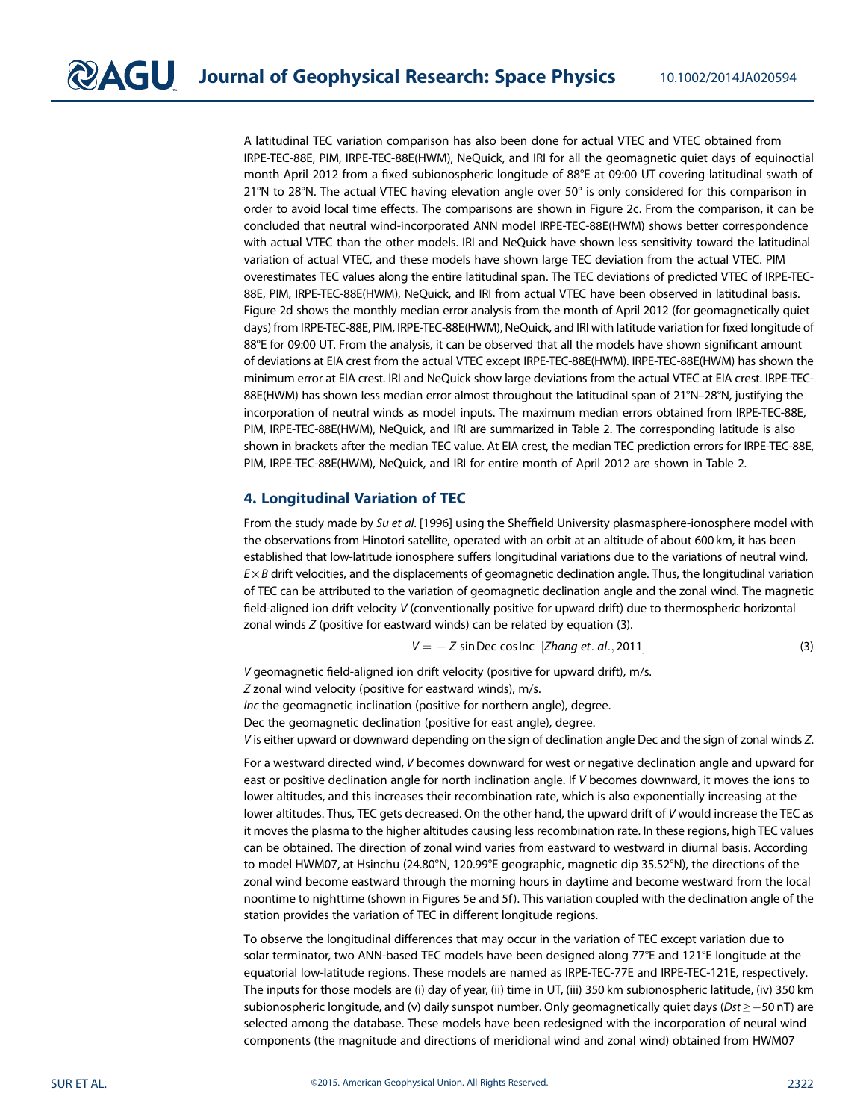A latitudinal TEC variation comparison has also been done for actual VTEC and VTEC obtained from IRPE-TEC-88E, PIM, IRPE-TEC-88E(HWM), NeQuick, and IRI for all the geomagnetic quiet days of equinoctial month April 2012 from a fixed subionospheric longitude of 88°E at 09:00 UT covering latitudinal swath of 21°N to 28°N. The actual VTEC having elevation angle over 50° is only considered for this comparison in order to avoid local time effects. The comparisons are shown in Figure 2c. From the comparison, it can be concluded that neutral wind-incorporated ANN model IRPE-TEC-88E(HWM) shows better correspondence with actual VTEC than the other models. IRI and NeQuick have shown less sensitivity toward the latitudinal variation of actual VTEC, and these models have shown large TEC deviation from the actual VTEC. PIM overestimates TEC values along the entire latitudinal span. The TEC deviations of predicted VTEC of IRPE-TEC-88E, PIM, IRPE-TEC-88E(HWM), NeQuick, and IRI from actual VTEC have been observed in latitudinal basis. Figure 2d shows the monthly median error analysis from the month of April 2012 (for geomagnetically quiet days) from IRPE-TEC-88E, PIM, IRPE-TEC-88E(HWM), NeQuick, and IRI with latitude variation for fixed longitude of 88°E for 09:00 UT. From the analysis, it can be observed that all the models have shown significant amount of deviations at EIA crest from the actual VTEC except IRPE-TEC-88E(HWM). IRPE-TEC-88E(HWM) has shown the minimum error at EIA crest. IRI and NeQuick show large deviations from the actual VTEC at EIA crest. IRPE-TEC-88E(HWM) has shown less median error almost throughout the latitudinal span of 21°N–28°N, justifying the incorporation of neutral winds as model inputs. The maximum median errors obtained from IRPE-TEC-88E, PIM, IRPE-TEC-88E(HWM), NeQuick, and IRI are summarized in Table 2. The corresponding latitude is also shown in brackets after the median TEC value. At EIA crest, the median TEC prediction errors for IRPE-TEC-88E, PIM, IRPE-TEC-88E(HWM), NeQuick, and IRI for entire month of April 2012 are shown in Table 2.

## 4. Longitudinal Variation of TEC

From the study made by *Su et al*. [1996] using the Sheffield University plasmasphere-ionosphere model with the observations from Hinotori satellite, operated with an orbit at an altitude of about 600 km, it has been established that low-latitude ionosphere suffers longitudinal variations due to the variations of neutral wind, *E* × *B* drift velocities, and the displacements of geomagnetic declination angle. Thus, the longitudinal variation of TEC can be attributed to the variation of geomagnetic declination angle and the zonal wind. The magnetic field-aligned ion drift velocity *V* (conventionally positive for upward drift) due to thermospheric horizontal zonal winds *Z* (positive for eastward winds) can be related by equation (3).

$$
V = -Z \sin Dec \cos Inc \quad [Zhang \text{ et. al., } 2011] \tag{3}
$$

*V* geomagnetic field-aligned ion drift velocity (positive for upward drift), m/s.

*Z* zonal wind velocity (positive for eastward winds), m/s.

*Inc* the geomagnetic inclination (positive for northern angle), degree.

Dec the geomagnetic declination (positive for east angle), degree.

*V* is either upward or downward depending on the sign of declination angle Dec and the sign of zonal winds *Z*.

For a westward directed wind, *V* becomes downward for west or negative declination angle and upward for east or positive declination angle for north inclination angle. If *V* becomes downward, it moves the ions to lower altitudes, and this increases their recombination rate, which is also exponentially increasing at the lower altitudes. Thus, TEC gets decreased. On the other hand, the upward drift of *V* would increase the TEC as it moves the plasma to the higher altitudes causing less recombination rate. In these regions, high TEC values can be obtained. The direction of zonal wind varies from eastward to westward in diurnal basis. According to model HWM07, at Hsinchu (24.80°N, 120.99°E geographic, magnetic dip 35.52°N), the directions of the zonal wind become eastward through the morning hours in daytime and become westward from the local noontime to nighttime (shown in Figures 5e and 5f). This variation coupled with the declination angle of the station provides the variation of TEC in different longitude regions.

To observe the longitudinal differences that may occur in the variation of TEC except variation due to solar terminator, two ANN-based TEC models have been designed along 77°E and 121°E longitude at the equatorial low-latitude regions. These models are named as IRPE-TEC-77E and IRPE-TEC-121E, respectively. The inputs for those models are (i) day of year, (ii) time in UT, (iii) 350 km subionospheric latitude, (iv) 350 km subionospheric longitude, and (v) daily sunspot number. Only geomagnetically quiet days ( $Dst \ge -50$  nT) are selected among the database. These models have been redesigned with the incorporation of neural wind components (the magnitude and directions of meridional wind and zonal wind) obtained from HWM07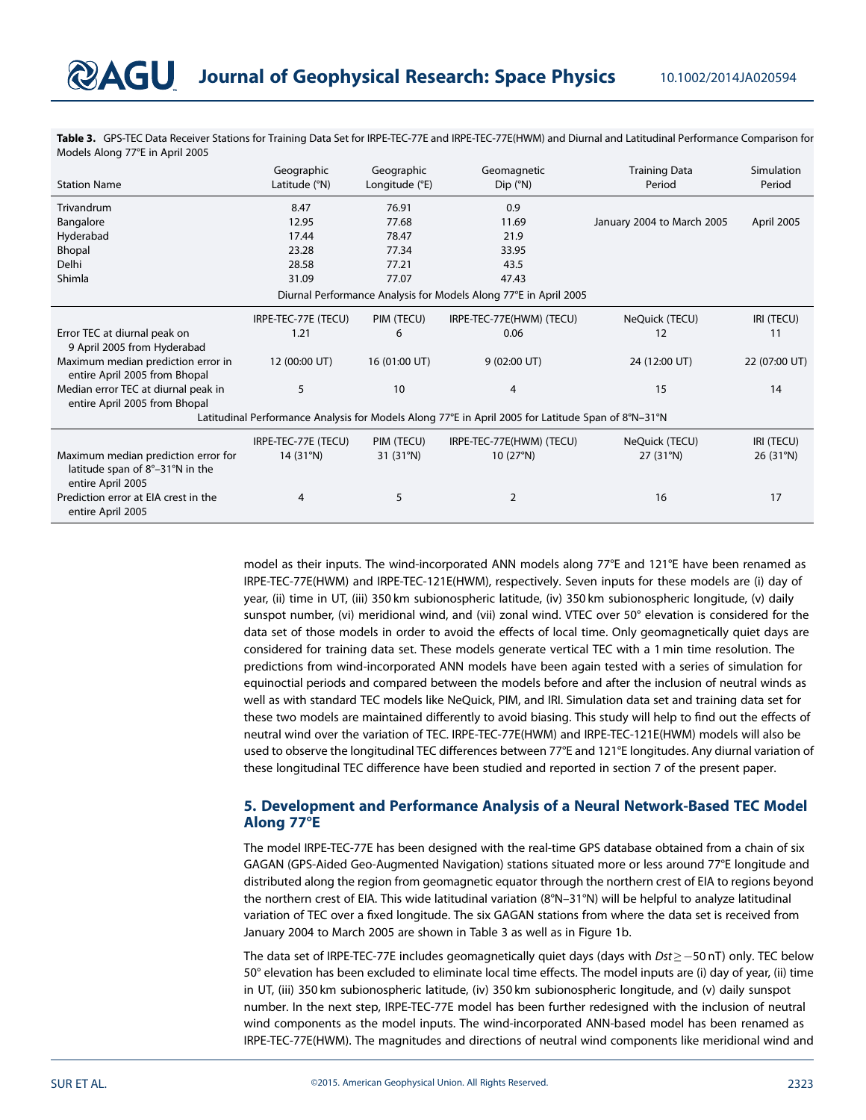Table 3. GPS-TEC Data Receiver Stations for Training Data Set for IRPE-TEC-77E and IRPE-TEC-77E(HWM) and Diurnal and Latitudinal Performance Comparison for Models Along 77°E in April 2005

| <b>Station Name</b>                                                                                | Geographic          | Geographic     | Geomagnetic                                                      | <b>Training Data</b>       | Simulation    |  |  |
|----------------------------------------------------------------------------------------------------|---------------------|----------------|------------------------------------------------------------------|----------------------------|---------------|--|--|
|                                                                                                    | Latitude (°N)       | Longitude (°E) | $Dip$ ( $^{\circ}N$ )                                            | Period                     | Period        |  |  |
| Trivandrum                                                                                         | 8.47                | 76.91          | 0.9                                                              |                            |               |  |  |
| Bangalore                                                                                          | 12.95               | 77.68          | 11.69                                                            | January 2004 to March 2005 | April 2005    |  |  |
| Hyderabad                                                                                          | 17.44               | 78.47          | 21.9                                                             |                            |               |  |  |
| Bhopal                                                                                             | 23.28               | 77.34          | 33.95                                                            |                            |               |  |  |
| Delhi                                                                                              | 28.58               | 77.21          | 43.5                                                             |                            |               |  |  |
| Shimla                                                                                             | 31.09               | 77.07          | 47.43                                                            |                            |               |  |  |
|                                                                                                    |                     |                | Diurnal Performance Analysis for Models Along 77°E in April 2005 |                            |               |  |  |
|                                                                                                    | IRPE-TEC-77E (TECU) | PIM (TECU)     | IRPE-TEC-77E(HWM) (TECU)                                         | NeQuick (TECU)             | IRI (TECU)    |  |  |
| Error TEC at diurnal peak on<br>9 April 2005 from Hyderabad                                        | 1.21                | 6              | 0.06                                                             | 12                         | 11            |  |  |
| Maximum median prediction error in<br>entire April 2005 from Bhopal                                | 12 (00:00 UT)       | 16 (01:00 UT)  | 9(02:00 UT)                                                      | 24 (12:00 UT)              | 22 (07:00 UT) |  |  |
| Median error TEC at diurnal peak in<br>entire April 2005 from Bhopal                               | 5                   | 10             | 4                                                                | 15                         | 14            |  |  |
| Latitudinal Performance Analysis for Models Along 77°E in April 2005 for Latitude Span of 8°N-31°N |                     |                |                                                                  |                            |               |  |  |
|                                                                                                    | IRPE-TEC-77E (TECU) | PIM (TECU)     | IRPE-TEC-77E(HWM) (TECU)                                         | NeQuick (TECU)             | IRI (TECU)    |  |  |
| Maximum median prediction error for<br>latitude span of 8°-31°N in the<br>entire April 2005        | 14(31°N)            | 31 (31°N)      | 10 $(27°N)$                                                      | 27 (31°N)                  | 26 (31°N)     |  |  |
| Prediction error at EIA crest in the<br>entire April 2005                                          | 4                   | 5              | 2                                                                | 16                         | 17            |  |  |

model as their inputs. The wind-incorporated ANN models along 77°E and 121°E have been renamed as IRPE-TEC-77E(HWM) and IRPE-TEC-121E(HWM), respectively. Seven inputs for these models are (i) day of year, (ii) time in UT, (iii) 350 km subionospheric latitude, (iv) 350 km subionospheric longitude, (v) daily sunspot number, (vi) meridional wind, and (vii) zonal wind. VTEC over 50° elevation is considered for the data set of those models in order to avoid the effects of local time. Only geomagnetically quiet days are considered for training data set. These models generate vertical TEC with a 1 min time resolution. The predictions from wind-incorporated ANN models have been again tested with a series of simulation for equinoctial periods and compared between the models before and after the inclusion of neutral winds as well as with standard TEC models like NeQuick, PIM, and IRI. Simulation data set and training data set for these two models are maintained differently to avoid biasing. This study will help to find out the effects of neutral wind over the variation of TEC. IRPE-TEC-77E(HWM) and IRPE-TEC-121E(HWM) models will also be used to observe the longitudinal TEC differences between 77°E and 121°E longitudes. Any diurnal variation of these longitudinal TEC difference have been studied and reported in section 7 of the present paper.

## 5. Development and Performance Analysis of a Neural Network-Based TEC Model Along 77°E

The model IRPE-TEC-77E has been designed with the real-time GPS database obtained from a chain of six GAGAN (GPS-Aided Geo-Augmented Navigation) stations situated more or less around 77°E longitude and distributed along the region from geomagnetic equator through the northern crest of EIA to regions beyond the northern crest of EIA. This wide latitudinal variation (8°N–31°N) will be helpful to analyze latitudinal variation of TEC over a fixed longitude. The six GAGAN stations from where the data set is received from January 2004 to March 2005 are shown in Table 3 as well as in Figure 1b.

The data set of IRPE-TEC-77E includes geomagnetically quiet days (days with *Dst* ≥ −50 nT) only. TEC below 50° elevation has been excluded to eliminate local time effects. The model inputs are (i) day of year, (ii) time in UT, (iii) 350 km subionospheric latitude, (iv) 350 km subionospheric longitude, and (v) daily sunspot number. In the next step, IRPE-TEC-77E model has been further redesigned with the inclusion of neutral wind components as the model inputs. The wind-incorporated ANN-based model has been renamed as IRPE-TEC-77E(HWM). The magnitudes and directions of neutral wind components like meridional wind and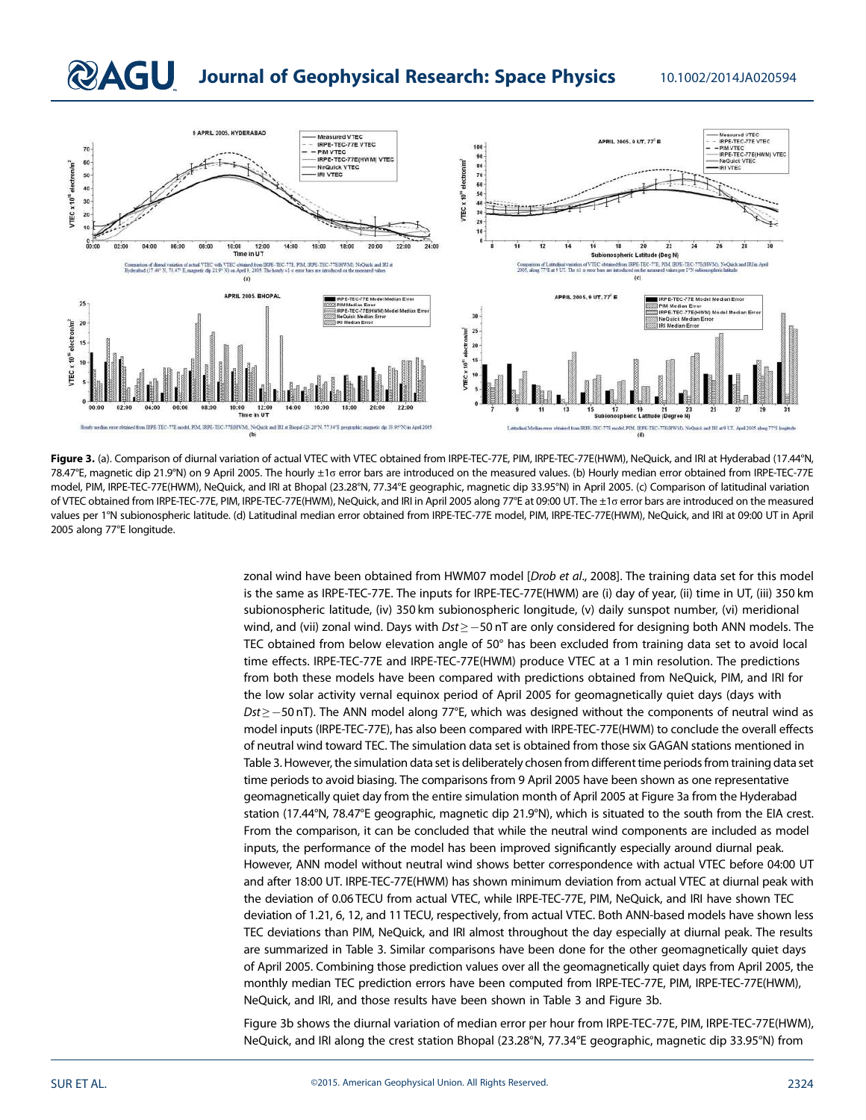## **QAGU** Journal of Geophysical Research: Space Physics 10.1002/2014JA020594



Figure 3. (a). Comparison of diurnal variation of actual VTEC with VTEC obtained from IRPE-TEC-77E, PIM, IRPE-TEC-77E(HWM), NeQuick, and IRI at Hyderabad (17.44°N, 78.47°E, magnetic dip 21.9°N) on 9 April 2005. The hourly ±1σ error bars are introduced on the measured values. (b) Hourly median error obtained from IRPE-TEC-77E model, PIM, IRPE-TEC-77E(HWM), NeQuick, and IRI at Bhopal (23.28°N, 77.34°E geographic, magnetic dip 33.95°N) in April 2005. (c) Comparison of latitudinal variation of VTEC obtained from IRPE-TEC-77E, PIM, IRPE-TEC-77E(HWM), NeQuick, and IRI in April 2005 along 77°E at 09:00 UT. The ±1σ error bars are introduced on the measured values per 1°N subionospheric latitude. (d) Latitudinal median error obtained from IRPE-TEC-77E model, PIM, IRPE-TEC-77E(HWM), NeQuick, and IRI at 09:00 UT in April 2005 along 77°E longitude.

zonal wind have been obtained from HWM07 model [*Drob et al*., 2008]. The training data set for this model is the same as IRPE-TEC-77E. The inputs for IRPE-TEC-77E(HWM) are (i) day of year, (ii) time in UT, (iii) 350 km subionospheric latitude, (iv) 350 km subionospheric longitude, (v) daily sunspot number, (vi) meridional wind, and (vii) zonal wind. Days with *Dst* ≥ −50 nT are only considered for designing both ANN models. The TEC obtained from below elevation angle of 50° has been excluded from training data set to avoid local time effects. IRPE-TEC-77E and IRPE-TEC-77E(HWM) produce VTEC at a 1 min resolution. The predictions from both these models have been compared with predictions obtained from NeQuick, PIM, and IRI for the low solar activity vernal equinox period of April 2005 for geomagnetically quiet days (days with *Dst* ≥ −50 nT). The ANN model along 77°E, which was designed without the components of neutral wind as model inputs (IRPE-TEC-77E), has also been compared with IRPE-TEC-77E(HWM) to conclude the overall effects of neutral wind toward TEC. The simulation data set is obtained from those six GAGAN stations mentioned in Table 3. However, the simulation data set is deliberately chosen from different time periods from training data set time periods to avoid biasing. The comparisons from 9 April 2005 have been shown as one representative geomagnetically quiet day from the entire simulation month of April 2005 at Figure 3a from the Hyderabad station (17.44°N, 78.47°E geographic, magnetic dip 21.9°N), which is situated to the south from the EIA crest. From the comparison, it can be concluded that while the neutral wind components are included as model inputs, the performance of the model has been improved significantly especially around diurnal peak. However, ANN model without neutral wind shows better correspondence with actual VTEC before 04:00 UT and after 18:00 UT. IRPE-TEC-77E(HWM) has shown minimum deviation from actual VTEC at diurnal peak with the deviation of 0.06 TECU from actual VTEC, while IRPE-TEC-77E, PIM, NeQuick, and IRI have shown TEC deviation of 1.21, 6, 12, and 11 TECU, respectively, from actual VTEC. Both ANN-based models have shown less TEC deviations than PIM, NeQuick, and IRI almost throughout the day especially at diurnal peak. The results are summarized in Table 3. Similar comparisons have been done for the other geomagnetically quiet days of April 2005. Combining those prediction values over all the geomagnetically quiet days from April 2005, the monthly median TEC prediction errors have been computed from IRPE-TEC-77E, PIM, IRPE-TEC-77E(HWM), NeQuick, and IRI, and those results have been shown in Table 3 and Figure 3b.

Figure 3b shows the diurnal variation of median error per hour from IRPE-TEC-77E, PIM, IRPE-TEC-77E(HWM), NeQuick, and IRI along the crest station Bhopal (23.28°N, 77.34°E geographic, magnetic dip 33.95°N) from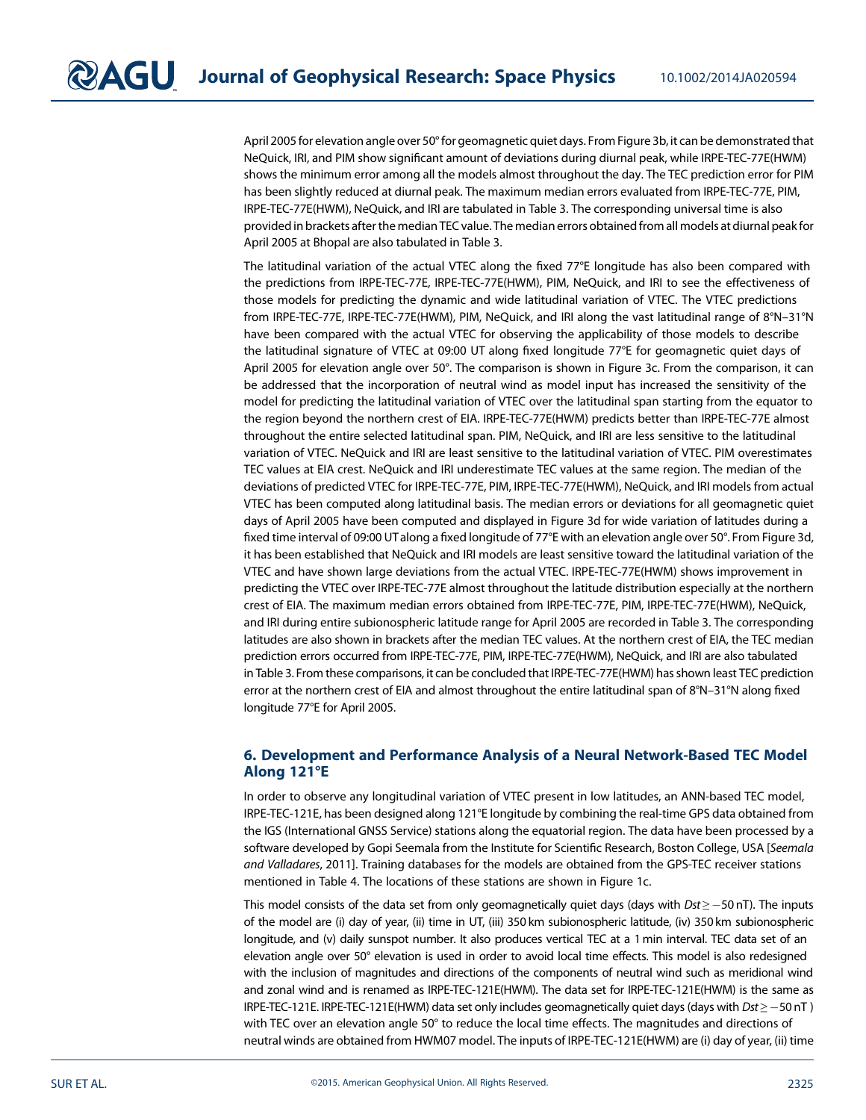April 2005 for elevation angle over 50° for geomagnetic quiet days. From Figure 3b, it can be demonstrated that NeQuick, IRI, and PIM show significant amount of deviations during diurnal peak, while IRPE-TEC-77E(HWM) shows the minimum error among all the models almost throughout the day. The TEC prediction error for PIM has been slightly reduced at diurnal peak. The maximum median errors evaluated from IRPE-TEC-77E, PIM, IRPE-TEC-77E(HWM), NeQuick, and IRI are tabulated in Table 3. The corresponding universal time is also provided in brackets after the median TEC value. The median errors obtained from all models at diurnal peakfor April 2005 at Bhopal are also tabulated in Table 3.

The latitudinal variation of the actual VTEC along the fixed 77°E longitude has also been compared with the predictions from IRPE-TEC-77E, IRPE-TEC-77E(HWM), PIM, NeQuick, and IRI to see the effectiveness of those models for predicting the dynamic and wide latitudinal variation of VTEC. The VTEC predictions from IRPE-TEC-77E, IRPE-TEC-77E(HWM), PIM, NeQuick, and IRI along the vast latitudinal range of 8°N–31°N have been compared with the actual VTEC for observing the applicability of those models to describe the latitudinal signature of VTEC at 09:00 UT along fixed longitude 77°E for geomagnetic quiet days of April 2005 for elevation angle over 50°. The comparison is shown in Figure 3c. From the comparison, it can be addressed that the incorporation of neutral wind as model input has increased the sensitivity of the model for predicting the latitudinal variation of VTEC over the latitudinal span starting from the equator to the region beyond the northern crest of EIA. IRPE-TEC-77E(HWM) predicts better than IRPE-TEC-77E almost throughout the entire selected latitudinal span. PIM, NeQuick, and IRI are less sensitive to the latitudinal variation of VTEC. NeQuick and IRI are least sensitive to the latitudinal variation of VTEC. PIM overestimates TEC values at EIA crest. NeQuick and IRI underestimate TEC values at the same region. The median of the deviations of predicted VTEC for IRPE-TEC-77E, PIM, IRPE-TEC-77E(HWM), NeQuick, and IRI models from actual VTEC has been computed along latitudinal basis. The median errors or deviations for all geomagnetic quiet days of April 2005 have been computed and displayed in Figure 3d for wide variation of latitudes during a fixed time interval of 09:00 UTalong a fixed longitude of 77°E with an elevation angle over 50°. From Figure 3d, it has been established that NeQuick and IRI models are least sensitive toward the latitudinal variation of the VTEC and have shown large deviations from the actual VTEC. IRPE-TEC-77E(HWM) shows improvement in predicting the VTEC over IRPE-TEC-77E almost throughout the latitude distribution especially at the northern crest of EIA. The maximum median errors obtained from IRPE-TEC-77E, PIM, IRPE-TEC-77E(HWM), NeQuick, and IRI during entire subionospheric latitude range for April 2005 are recorded in Table 3. The corresponding latitudes are also shown in brackets after the median TEC values. At the northern crest of EIA, the TEC median prediction errors occurred from IRPE-TEC-77E, PIM, IRPE-TEC-77E(HWM), NeQuick, and IRI are also tabulated in Table 3. From these comparisons, it can be concluded that IRPE-TEC-77E(HWM) has shown least TEC prediction error at the northern crest of EIA and almost throughout the entire latitudinal span of 8°N–31°N along fixed longitude 77°E for April 2005.

## 6. Development and Performance Analysis of a Neural Network-Based TEC Model Along 121°E

In order to observe any longitudinal variation of VTEC present in low latitudes, an ANN-based TEC model, IRPE-TEC-121E, has been designed along 121°E longitude by combining the real-time GPS data obtained from the IGS (International GNSS Service) stations along the equatorial region. The data have been processed by a software developed by Gopi Seemala from the Institute for Scientific Research, Boston College, USA [*Seemala and Valladares*, 2011]. Training databases for the models are obtained from the GPS-TEC receiver stations mentioned in Table 4. The locations of these stations are shown in Figure 1c.

This model consists of the data set from only geomagnetically quiet days (days with *Dst* ≥ −50 nT). The inputs of the model are (i) day of year, (ii) time in UT, (iii) 350 km subionospheric latitude, (iv) 350 km subionospheric longitude, and (v) daily sunspot number. It also produces vertical TEC at a 1 min interval. TEC data set of an elevation angle over 50° elevation is used in order to avoid local time effects. This model is also redesigned with the inclusion of magnitudes and directions of the components of neutral wind such as meridional wind and zonal wind and is renamed as IRPE-TEC-121E(HWM). The data set for IRPE-TEC-121E(HWM) is the same as IRPE-TEC-121E. IRPE-TEC-121E(HWM) data set only includes geomagnetically quiet days (days with *Dst* ≥ 50 nT ) with TEC over an elevation angle 50° to reduce the local time effects. The magnitudes and directions of neutral winds are obtained from HWM07 model. The inputs of IRPE-TEC-121E(HWM) are (i) day of year, (ii) time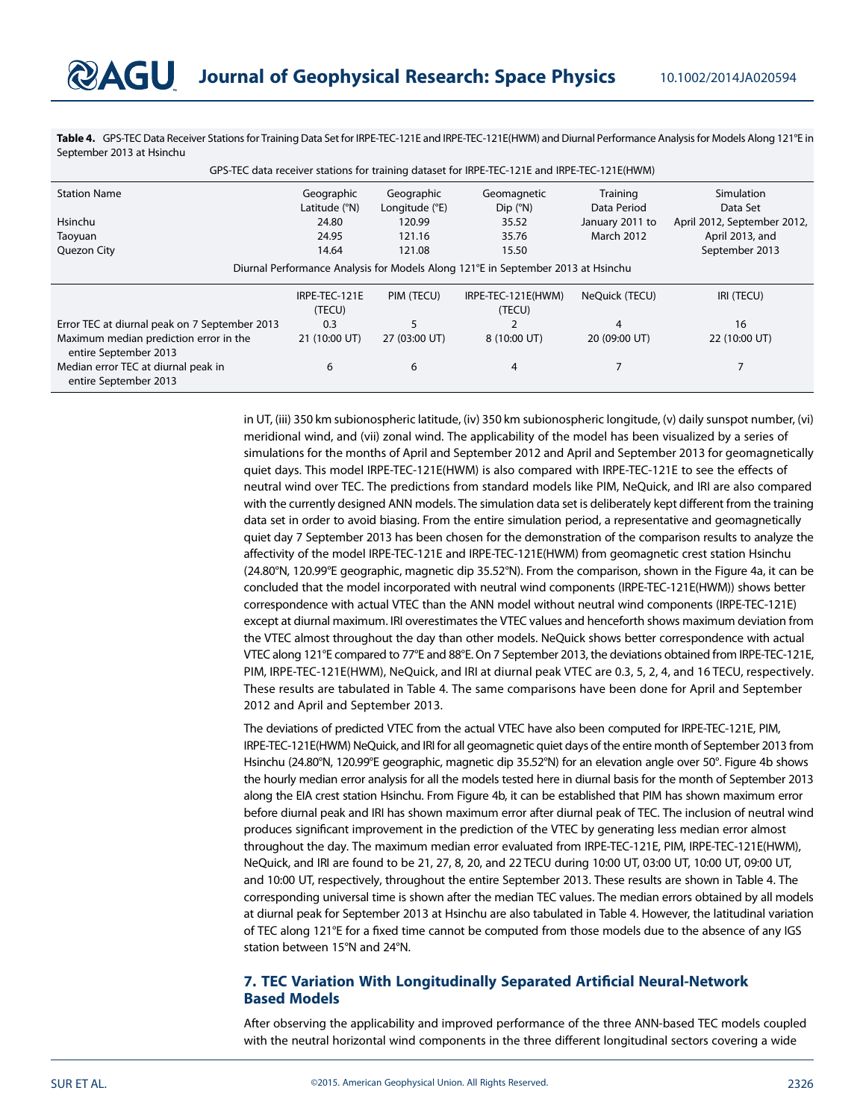Table 4. GPS-TEC Data Receiver Stations for Training Data Set for IRPE-TEC-121E and IRPE-TEC-121E(HWM) and Diurnal Performance Analysis for Models Along 121°E in September 2013 at Hsinchu

| GPS-TEC data receiver stations for training dataset for IRPE-TEC-121E and IRPE-TEC-121E(HWM) |                          |                |                       |                   |                             |  |  |  |
|----------------------------------------------------------------------------------------------|--------------------------|----------------|-----------------------|-------------------|-----------------------------|--|--|--|
| <b>Station Name</b>                                                                          | Geographic               | Geographic     | Geomagnetic           | Training          | Simulation                  |  |  |  |
|                                                                                              | Latitude (°N)            | Longitude (°E) | $Dip$ ( $^{\circ}N$ ) | Data Period       | Data Set                    |  |  |  |
| <b>Hsinchu</b>                                                                               | 24.80                    | 120.99         | 35.52                 | January 2011 to   | April 2012, September 2012, |  |  |  |
| Taoyuan                                                                                      | 24.95                    | 121.16         | 35.76                 | <b>March 2012</b> | April 2013, and             |  |  |  |
| Quezon City                                                                                  | 14.64<br>15.50<br>121.08 |                | September 2013        |                   |                             |  |  |  |
| Diurnal Performance Analysis for Models Along 121°E in September 2013 at Hsinchu             |                          |                |                       |                   |                             |  |  |  |
|                                                                                              | IRPE-TEC-121E            | PIM (TECU)     | IRPE-TEC-121E(HWM)    | NeQuick (TECU)    | IRI (TECU)                  |  |  |  |
|                                                                                              | (TECU)                   |                | (TECU)                |                   |                             |  |  |  |
| Error TEC at diurnal peak on 7 September 2013                                                | 0.3                      | 5              |                       | 4                 | 16                          |  |  |  |
| Maximum median prediction error in the<br>entire September 2013                              | 21 (10:00 UT)            | 27 (03:00 UT)  | 8 (10:00 UT)          | 20 (09:00 UT)     | 22 (10:00 UT)               |  |  |  |
| Median error TEC at diurnal peak in<br>entire September 2013                                 | 6                        | 6              | 4                     |                   |                             |  |  |  |

in UT, (iii) 350 km subionospheric latitude, (iv) 350 km subionospheric longitude, (v) daily sunspot number, (vi) meridional wind, and (vii) zonal wind. The applicability of the model has been visualized by a series of simulations for the months of April and September 2012 and April and September 2013 for geomagnetically quiet days. This model IRPE-TEC-121E(HWM) is also compared with IRPE-TEC-121E to see the effects of neutral wind over TEC. The predictions from standard models like PIM, NeQuick, and IRI are also compared with the currently designed ANN models. The simulation data set is deliberately kept different from the training data set in order to avoid biasing. From the entire simulation period, a representative and geomagnetically quiet day 7 September 2013 has been chosen for the demonstration of the comparison results to analyze the affectivity of the model IRPE-TEC-121E and IRPE-TEC-121E(HWM) from geomagnetic crest station Hsinchu (24.80°N, 120.99°E geographic, magnetic dip 35.52°N). From the comparison, shown in the Figure 4a, it can be concluded that the model incorporated with neutral wind components (IRPE-TEC-121E(HWM)) shows better correspondence with actual VTEC than the ANN model without neutral wind components (IRPE-TEC-121E) except at diurnal maximum. IRI overestimates the VTEC values and henceforth shows maximum deviation from the VTEC almost throughout the day than other models. NeQuick shows better correspondence with actual VTEC along 121°E compared to 77°E and 88°E. On 7 September 2013, the deviations obtained from IRPE-TEC-121E, PIM, IRPE-TEC-121E(HWM), NeQuick, and IRI at diurnal peak VTEC are 0.3, 5, 2, 4, and 16 TECU, respectively. These results are tabulated in Table 4. The same comparisons have been done for April and September 2012 and April and September 2013.

The deviations of predicted VTEC from the actual VTEC have also been computed for IRPE-TEC-121E, PIM, IRPE-TEC-121E(HWM) NeQuick, and IRI for all geomagnetic quiet days of the entire month of September 2013 from Hsinchu (24.80°N, 120.99°E geographic, magnetic dip 35.52°N) for an elevation angle over 50°. Figure 4b shows the hourly median error analysis for all the models tested here in diurnal basis for the month of September 2013 along the EIA crest station Hsinchu. From Figure 4b, it can be established that PIM has shown maximum error before diurnal peak and IRI has shown maximum error after diurnal peak of TEC. The inclusion of neutral wind produces significant improvement in the prediction of the VTEC by generating less median error almost throughout the day. The maximum median error evaluated from IRPE-TEC-121E, PIM, IRPE-TEC-121E(HWM), NeQuick, and IRI are found to be 21, 27, 8, 20, and 22 TECU during 10:00 UT, 03:00 UT, 10:00 UT, 09:00 UT, and 10:00 UT, respectively, throughout the entire September 2013. These results are shown in Table 4. The corresponding universal time is shown after the median TEC values. The median errors obtained by all models at diurnal peak for September 2013 at Hsinchu are also tabulated in Table 4. However, the latitudinal variation of TEC along 121°E for a fixed time cannot be computed from those models due to the absence of any IGS station between 15°N and 24°N.

## 7. TEC Variation With Longitudinally Separated Artificial Neural-Network Based Models

After observing the applicability and improved performance of the three ANN-based TEC models coupled with the neutral horizontal wind components in the three different longitudinal sectors covering a wide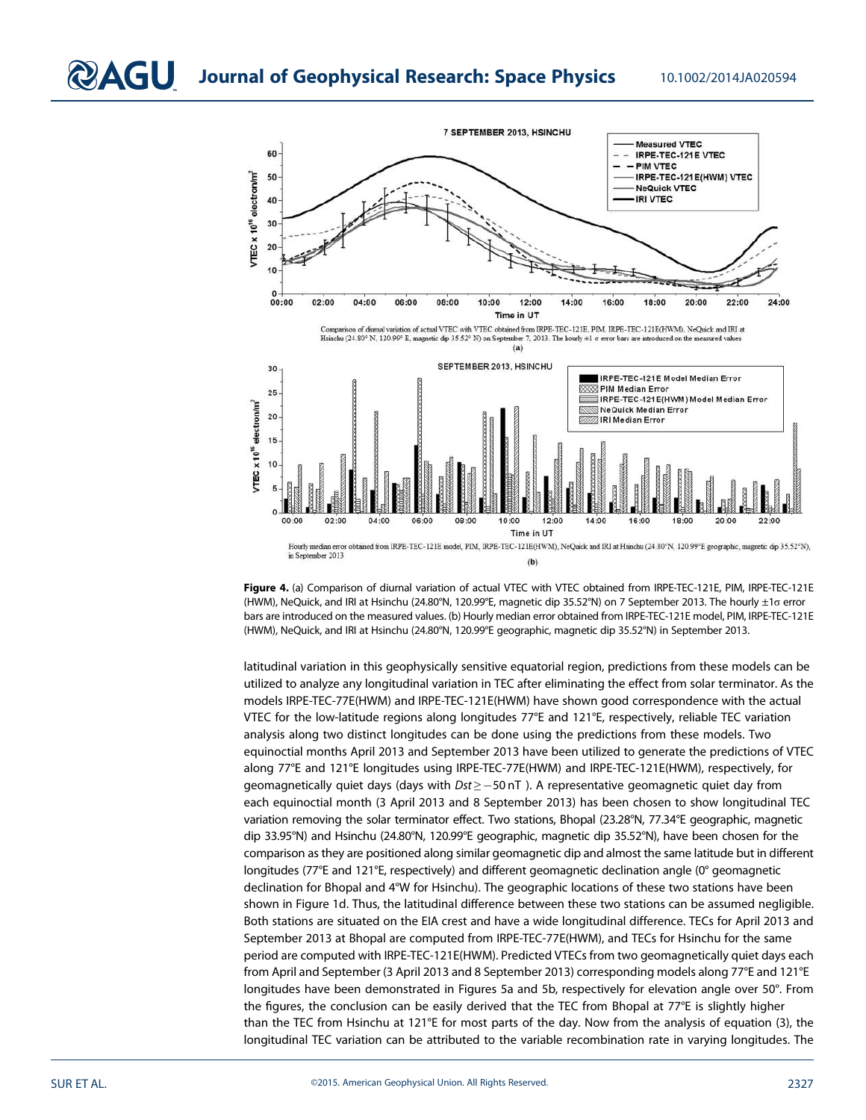

Figure 4. (a) Comparison of diurnal variation of actual VTEC with VTEC obtained from IRPE-TEC-121E, PIM, IRPE-TEC-121E (HWM), NeQuick, and IRI at Hsinchu (24.80°N, 120.99°E, magnetic dip 35.52°N) on 7 September 2013. The hourly ±1σ error bars are introduced on the measured values. (b) Hourly median error obtained from IRPE-TEC-121E model, PIM, IRPE-TEC-121E (HWM), NeQuick, and IRI at Hsinchu (24.80°N, 120.99°E geographic, magnetic dip 35.52°N) in September 2013.

latitudinal variation in this geophysically sensitive equatorial region, predictions from these models can be utilized to analyze any longitudinal variation in TEC after eliminating the effect from solar terminator. As the models IRPE-TEC-77E(HWM) and IRPE-TEC-121E(HWM) have shown good correspondence with the actual VTEC for the low-latitude regions along longitudes 77°E and 121°E, respectively, reliable TEC variation analysis along two distinct longitudes can be done using the predictions from these models. Two equinoctial months April 2013 and September 2013 have been utilized to generate the predictions of VTEC along 77°E and 121°E longitudes using IRPE-TEC-77E(HWM) and IRPE-TEC-121E(HWM), respectively, for geomagnetically quiet days (days with *Dst* ≥ −50 nT). A representative geomagnetic quiet day from each equinoctial month (3 April 2013 and 8 September 2013) has been chosen to show longitudinal TEC variation removing the solar terminator effect. Two stations, Bhopal (23.28°N, 77.34°E geographic, magnetic dip 33.95°N) and Hsinchu (24.80°N, 120.99°E geographic, magnetic dip 35.52°N), have been chosen for the comparison as they are positioned along similar geomagnetic dip and almost the same latitude but in different longitudes (77°E and 121°E, respectively) and different geomagnetic declination angle (0° geomagnetic declination for Bhopal and 4°W for Hsinchu). The geographic locations of these two stations have been shown in Figure 1d. Thus, the latitudinal difference between these two stations can be assumed negligible. Both stations are situated on the EIA crest and have a wide longitudinal difference. TECs for April 2013 and September 2013 at Bhopal are computed from IRPE-TEC-77E(HWM), and TECs for Hsinchu for the same period are computed with IRPE-TEC-121E(HWM). Predicted VTECs from two geomagnetically quiet days each from April and September (3 April 2013 and 8 September 2013) corresponding models along 77°E and 121°E longitudes have been demonstrated in Figures 5a and 5b, respectively for elevation angle over 50°. From the figures, the conclusion can be easily derived that the TEC from Bhopal at 77°E is slightly higher than the TEC from Hsinchu at 121°E for most parts of the day. Now from the analysis of equation (3), the longitudinal TEC variation can be attributed to the variable recombination rate in varying longitudes. The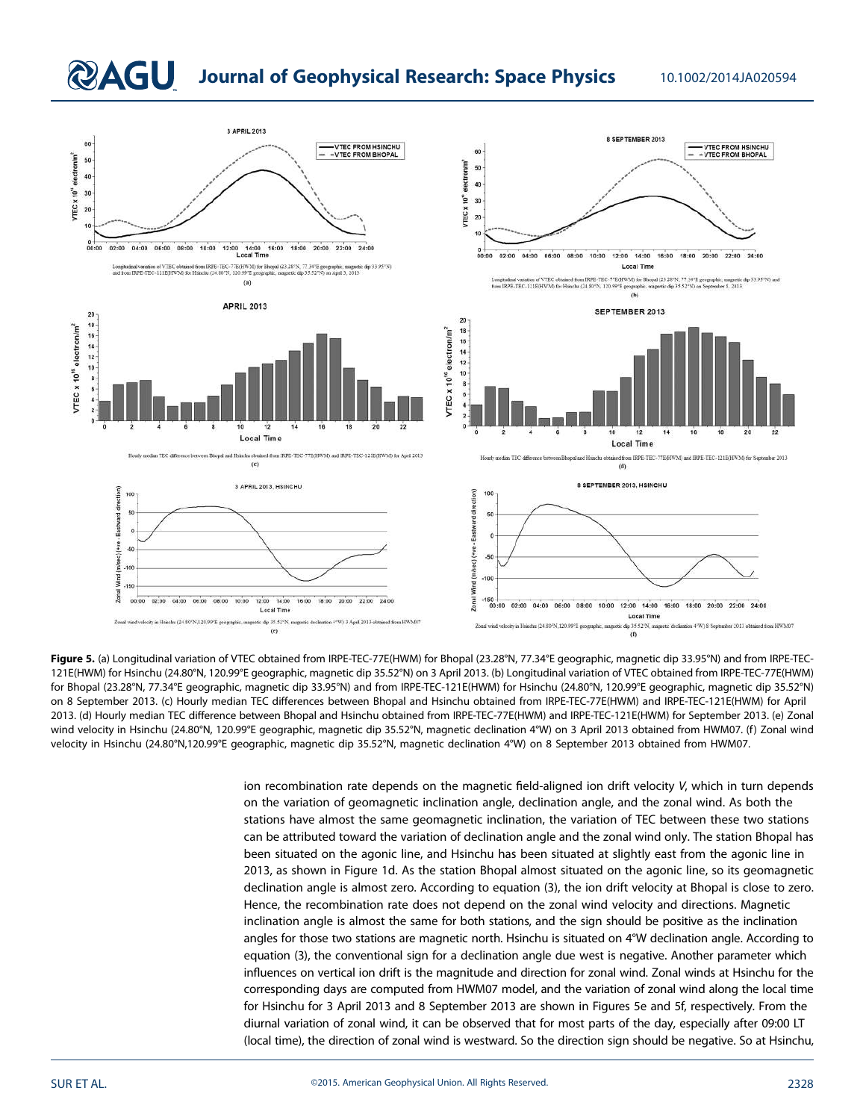## **QAGU** Journal of Geophysical Research: Space Physics 10.1002/2014JA020594



Figure 5. (a) Longitudinal variation of VTEC obtained from IRPE-TEC-77E(HWM) for Bhopal (23.28°N, 77.34°E geographic, magnetic dip 33.95°N) and from IRPE-TEC-121E(HWM) for Hsinchu (24.80°N, 120.99°E geographic, magnetic dip 35.52°N) on 3 April 2013. (b) Longitudinal variation of VTEC obtained from IRPE-TEC-77E(HWM) for Bhopal (23.28°N, 77.34°E geographic, magnetic dip 33.95°N) and from IRPE-TEC-121E(HWM) for Hsinchu (24.80°N, 120.99°E geographic, magnetic dip 35.52°N) on 8 September 2013. (c) Hourly median TEC differences between Bhopal and Hsinchu obtained from IRPE-TEC-77E(HWM) and IRPE-TEC-121E(HWM) for April 2013. (d) Hourly median TEC difference between Bhopal and Hsinchu obtained from IRPE-TEC-77E(HWM) and IRPE-TEC-121E(HWM) for September 2013. (e) Zonal wind velocity in Hsinchu (24.80°N, 120.99°E geographic, magnetic dip 35.52°N, magnetic declination 4°W) on 3 April 2013 obtained from HWM07. (f) Zonal wind velocity in Hsinchu (24.80°N,120.99°E geographic, magnetic dip 35.52°N, magnetic declination 4°W) on 8 September 2013 obtained from HWM07.

> ion recombination rate depends on the magnetic field-aligned ion drift velocity *V*, which in turn depends on the variation of geomagnetic inclination angle, declination angle, and the zonal wind. As both the stations have almost the same geomagnetic inclination, the variation of TEC between these two stations can be attributed toward the variation of declination angle and the zonal wind only. The station Bhopal has been situated on the agonic line, and Hsinchu has been situated at slightly east from the agonic line in 2013, as shown in Figure 1d. As the station Bhopal almost situated on the agonic line, so its geomagnetic declination angle is almost zero. According to equation (3), the ion drift velocity at Bhopal is close to zero. Hence, the recombination rate does not depend on the zonal wind velocity and directions. Magnetic inclination angle is almost the same for both stations, and the sign should be positive as the inclination angles for those two stations are magnetic north. Hsinchu is situated on 4°W declination angle. According to equation (3), the conventional sign for a declination angle due west is negative. Another parameter which influences on vertical ion drift is the magnitude and direction for zonal wind. Zonal winds at Hsinchu for the corresponding days are computed from HWM07 model, and the variation of zonal wind along the local time for Hsinchu for 3 April 2013 and 8 September 2013 are shown in Figures 5e and 5f, respectively. From the diurnal variation of zonal wind, it can be observed that for most parts of the day, especially after 09:00 LT (local time), the direction of zonal wind is westward. So the direction sign should be negative. So at Hsinchu,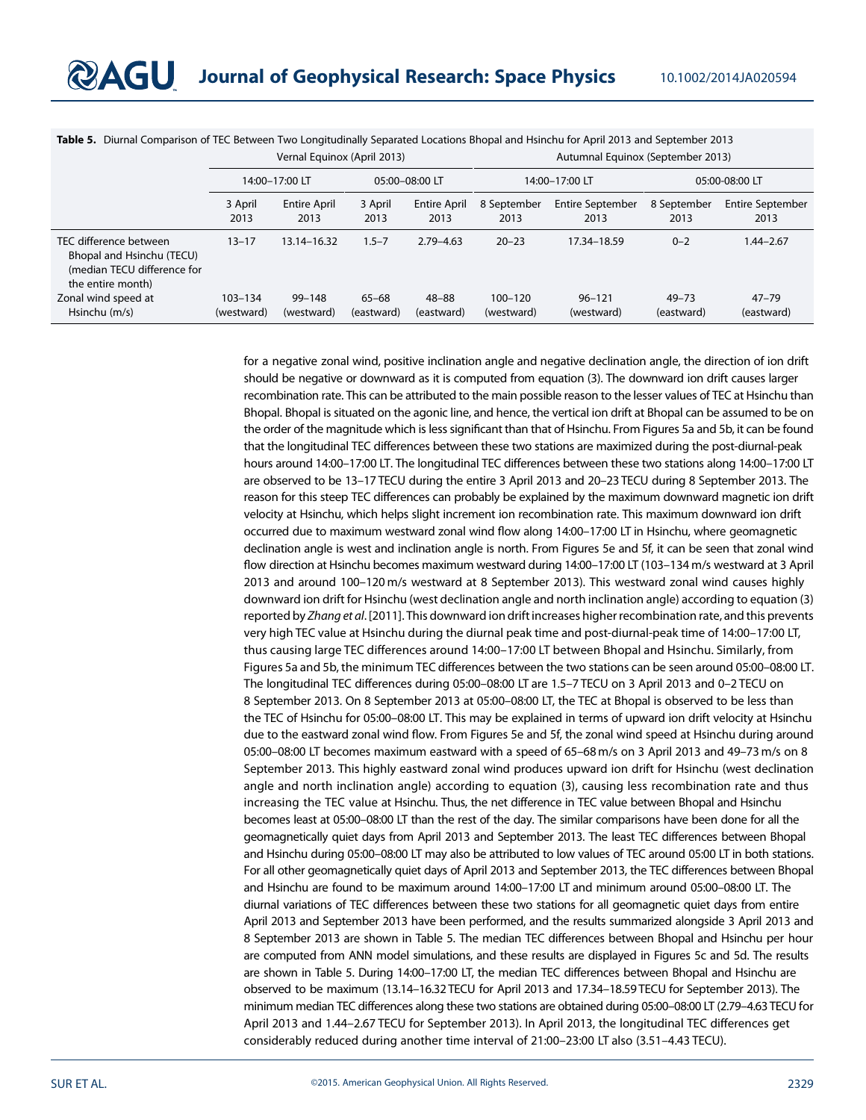|                                                                                                         | Vernal Equinox (April 2013) |                             |                     |                      | Autumnal Equinox (September 2013) |                          |                         |                                 |
|---------------------------------------------------------------------------------------------------------|-----------------------------|-----------------------------|---------------------|----------------------|-----------------------------------|--------------------------|-------------------------|---------------------------------|
|                                                                                                         | 14:00-17:00 LT              |                             | 05:00-08:00 LT      |                      | 14:00-17:00 LT                    |                          | 05:00-08:00 LT          |                                 |
|                                                                                                         | 3 April<br>2013             | <b>Entire April</b><br>2013 | 3 April<br>2013     | Entire April<br>2013 | 8 September<br>2013               | Entire September<br>2013 | 8 September<br>2013     | <b>Entire September</b><br>2013 |
| TEC difference between<br>Bhopal and Hsinchu (TECU)<br>(median TECU difference for<br>the entire month) | $13 - 17$                   | 13.14-16.32                 | $1.5 - 7$           | $2.79 - 4.63$        | $20 - 23$                         | 17.34-18.59              | $0 - 2$                 | 1.44–2.67                       |
| Zonal wind speed at<br>Hsinchu (m/s)                                                                    | 103-134<br>(westward)       | $99 - 148$<br>(westward)    | 65-68<br>(eastward) | 48–88<br>(eastward)  | $100 - 120$<br>(westward)         | $96 - 121$<br>(westward) | $49 - 73$<br>(eastward) | $47 - 79$<br>(eastward)         |

Table 5. Diurnal Comparison of TEC Between Two Longitudinally Separated Locations Bhopal and Hsinchu for April 2013 and September 2013

for a negative zonal wind, positive inclination angle and negative declination angle, the direction of ion drift should be negative or downward as it is computed from equation (3). The downward ion drift causes larger recombination rate. This can be attributed to the main possible reason to the lesser values of TEC at Hsinchu than Bhopal. Bhopal is situated on the agonic line, and hence, the vertical ion drift at Bhopal can be assumed to be on the order of the magnitude which is less significant than that of Hsinchu. From Figures 5a and 5b, it can be found that the longitudinal TEC differences between these two stations are maximized during the post-diurnal-peak hours around 14:00–17:00 LT. The longitudinal TEC differences between these two stations along 14:00–17:00 LT are observed to be 13–17 TECU during the entire 3 April 2013 and 20–23 TECU during 8 September 2013. The reason for this steep TEC differences can probably be explained by the maximum downward magnetic ion drift velocity at Hsinchu, which helps slight increment ion recombination rate. This maximum downward ion drift occurred due to maximum westward zonal wind flow along 14:00–17:00 LT in Hsinchu, where geomagnetic declination angle is west and inclination angle is north. From Figures 5e and 5f, it can be seen that zonal wind flow direction at Hsinchu becomes maximum westward during 14:00–17:00 LT (103–134 m/s westward at 3 April 2013 and around 100–120 m/s westward at 8 September 2013). This westward zonal wind causes highly downward ion drift for Hsinchu (west declination angle and north inclination angle) according to equation (3) reported by *Zhang et al*. [2011]. This downward ion drift increases higher recombination rate, and this prevents very high TEC value at Hsinchu during the diurnal peak time and post-diurnal-peak time of 14:00–17:00 LT, thus causing large TEC differences around 14:00–17:00 LT between Bhopal and Hsinchu. Similarly, from Figures 5a and 5b, the minimum TEC differences between the two stations can be seen around 05:00–08:00 LT. The longitudinal TEC differences during 05:00–08:00 LT are 1.5–7 TECU on 3 April 2013 and 0–2 TECU on 8 September 2013. On 8 September 2013 at 05:00–08:00 LT, the TEC at Bhopal is observed to be less than the TEC of Hsinchu for 05:00–08:00 LT. This may be explained in terms of upward ion drift velocity at Hsinchu due to the eastward zonal wind flow. From Figures 5e and 5f, the zonal wind speed at Hsinchu during around 05:00–08:00 LT becomes maximum eastward with a speed of 65–68 m/s on 3 April 2013 and 49–73 m/s on 8 September 2013. This highly eastward zonal wind produces upward ion drift for Hsinchu (west declination angle and north inclination angle) according to equation (3), causing less recombination rate and thus increasing the TEC value at Hsinchu. Thus, the net difference in TEC value between Bhopal and Hsinchu becomes least at 05:00–08:00 LT than the rest of the day. The similar comparisons have been done for all the geomagnetically quiet days from April 2013 and September 2013. The least TEC differences between Bhopal and Hsinchu during 05:00–08:00 LT may also be attributed to low values of TEC around 05:00 LT in both stations. For all other geomagnetically quiet days of April 2013 and September 2013, the TEC differences between Bhopal and Hsinchu are found to be maximum around 14:00–17:00 LT and minimum around 05:00–08:00 LT. The diurnal variations of TEC differences between these two stations for all geomagnetic quiet days from entire April 2013 and September 2013 have been performed, and the results summarized alongside 3 April 2013 and 8 September 2013 are shown in Table 5. The median TEC differences between Bhopal and Hsinchu per hour are computed from ANN model simulations, and these results are displayed in Figures 5c and 5d. The results are shown in Table 5. During 14:00–17:00 LT, the median TEC differences between Bhopal and Hsinchu are observed to be maximum (13.14–16.32 TECU for April 2013 and 17.34–18.59 TECU for September 2013). The minimum median TEC differences along these two stations are obtained during 05:00–08:00 LT (2.79–4.63 TECU for April 2013 and 1.44–2.67 TECU for September 2013). In April 2013, the longitudinal TEC differences get considerably reduced during another time interval of 21:00–23:00 LT also (3.51–4.43 TECU).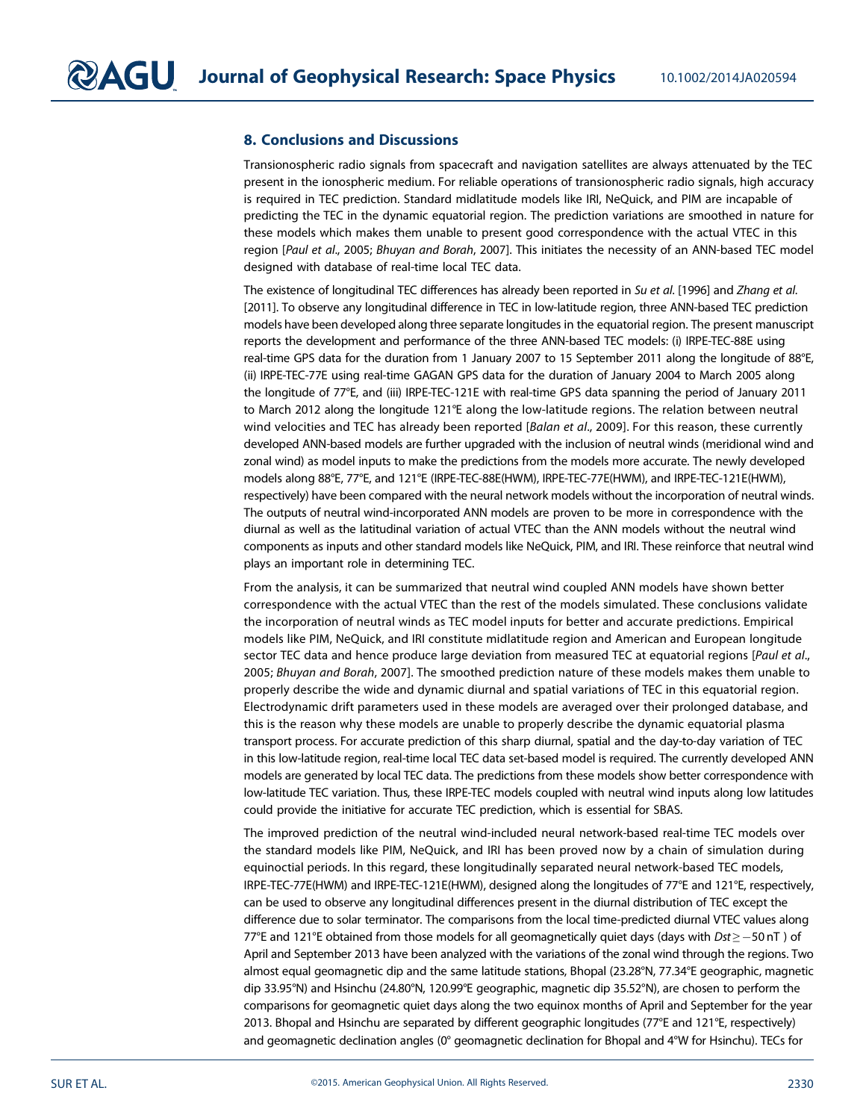### 8. Conclusions and Discussions

Transionospheric radio signals from spacecraft and navigation satellites are always attenuated by the TEC present in the ionospheric medium. For reliable operations of transionospheric radio signals, high accuracy is required in TEC prediction. Standard midlatitude models like IRI, NeQuick, and PIM are incapable of predicting the TEC in the dynamic equatorial region. The prediction variations are smoothed in nature for these models which makes them unable to present good correspondence with the actual VTEC in this region [*Paul et al*., 2005; *Bhuyan and Borah*, 2007]. This initiates the necessity of an ANN-based TEC model designed with database of real-time local TEC data.

The existence of longitudinal TEC differences has already been reported in *Su et al*. [1996] and *Zhang et al*. [2011]. To observe any longitudinal difference in TEC in low-latitude region, three ANN-based TEC prediction models have been developed along three separate longitudes in the equatorial region. The present manuscript reports the development and performance of the three ANN-based TEC models: (i) IRPE-TEC-88E using real-time GPS data for the duration from 1 January 2007 to 15 September 2011 along the longitude of 88°E, (ii) IRPE-TEC-77E using real-time GAGAN GPS data for the duration of January 2004 to March 2005 along the longitude of 77°E, and (iii) IRPE-TEC-121E with real-time GPS data spanning the period of January 2011 to March 2012 along the longitude 121°E along the low-latitude regions. The relation between neutral wind velocities and TEC has already been reported [*Balan et al*., 2009]. For this reason, these currently developed ANN-based models are further upgraded with the inclusion of neutral winds (meridional wind and zonal wind) as model inputs to make the predictions from the models more accurate. The newly developed models along 88°E, 77°E, and 121°E (IRPE-TEC-88E(HWM), IRPE-TEC-77E(HWM), and IRPE-TEC-121E(HWM), respectively) have been compared with the neural network models without the incorporation of neutral winds. The outputs of neutral wind-incorporated ANN models are proven to be more in correspondence with the diurnal as well as the latitudinal variation of actual VTEC than the ANN models without the neutral wind components as inputs and other standard models like NeQuick, PIM, and IRI. These reinforce that neutral wind plays an important role in determining TEC.

From the analysis, it can be summarized that neutral wind coupled ANN models have shown better correspondence with the actual VTEC than the rest of the models simulated. These conclusions validate the incorporation of neutral winds as TEC model inputs for better and accurate predictions. Empirical models like PIM, NeQuick, and IRI constitute midlatitude region and American and European longitude sector TEC data and hence produce large deviation from measured TEC at equatorial regions [*Paul et al*., 2005; *Bhuyan and Borah*, 2007]. The smoothed prediction nature of these models makes them unable to properly describe the wide and dynamic diurnal and spatial variations of TEC in this equatorial region. Electrodynamic drift parameters used in these models are averaged over their prolonged database, and this is the reason why these models are unable to properly describe the dynamic equatorial plasma transport process. For accurate prediction of this sharp diurnal, spatial and the day-to-day variation of TEC in this low-latitude region, real-time local TEC data set-based model is required. The currently developed ANN models are generated by local TEC data. The predictions from these models show better correspondence with low-latitude TEC variation. Thus, these IRPE-TEC models coupled with neutral wind inputs along low latitudes could provide the initiative for accurate TEC prediction, which is essential for SBAS.

The improved prediction of the neutral wind-included neural network-based real-time TEC models over the standard models like PIM, NeQuick, and IRI has been proved now by a chain of simulation during equinoctial periods. In this regard, these longitudinally separated neural network-based TEC models, IRPE-TEC-77E(HWM) and IRPE-TEC-121E(HWM), designed along the longitudes of 77°E and 121°E, respectively, can be used to observe any longitudinal differences present in the diurnal distribution of TEC except the difference due to solar terminator. The comparisons from the local time-predicted diurnal VTEC values along 77°E and 121°E obtained from those models for all geomagnetically quiet days (days with *Dst* ≥ −50 nT) of April and September 2013 have been analyzed with the variations of the zonal wind through the regions. Two almost equal geomagnetic dip and the same latitude stations, Bhopal (23.28°N, 77.34°E geographic, magnetic dip 33.95°N) and Hsinchu (24.80°N, 120.99°E geographic, magnetic dip 35.52°N), are chosen to perform the comparisons for geomagnetic quiet days along the two equinox months of April and September for the year 2013. Bhopal and Hsinchu are separated by different geographic longitudes (77°E and 121°E, respectively) and geomagnetic declination angles (0° geomagnetic declination for Bhopal and 4°W for Hsinchu). TECs for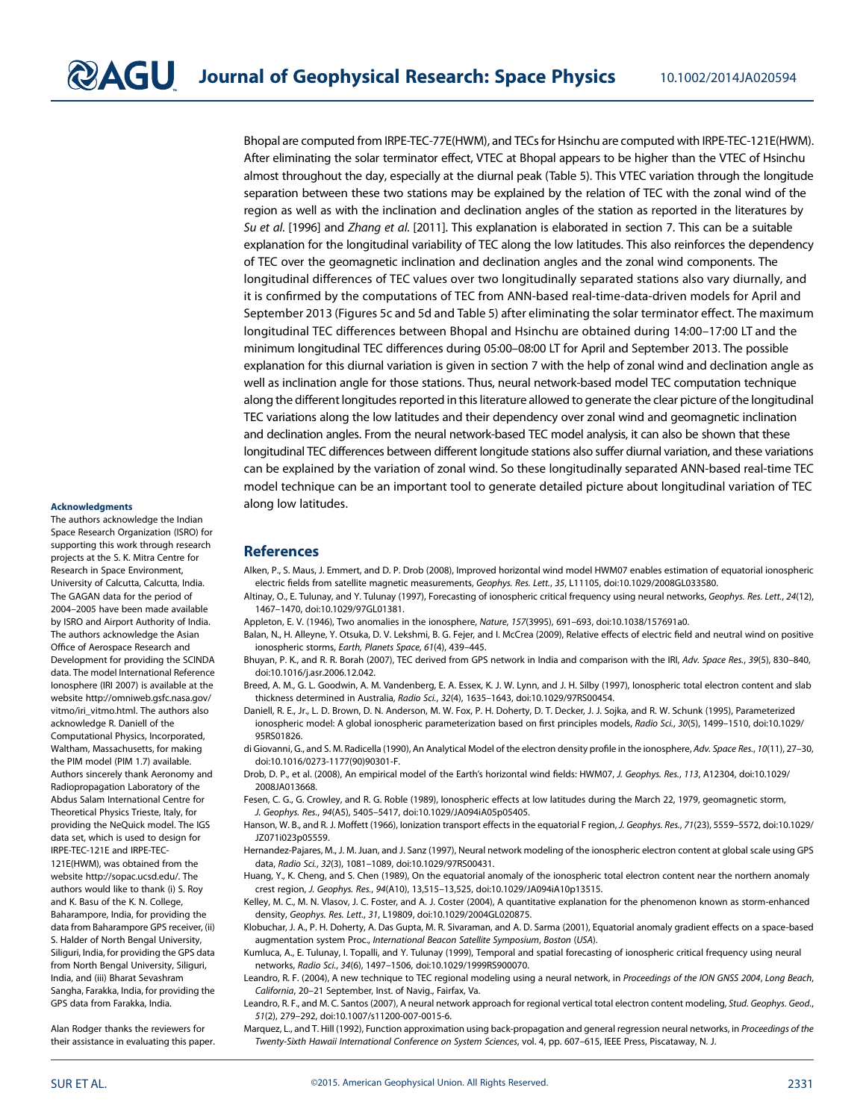Bhopal are computed from IRPE-TEC-77E(HWM), and TECs for Hsinchu are computed with IRPE-TEC-121E(HWM). After eliminating the solar terminator effect, VTEC at Bhopal appears to be higher than the VTEC of Hsinchu almost throughout the day, especially at the diurnal peak (Table 5). This VTEC variation through the longitude separation between these two stations may be explained by the relation of TEC with the zonal wind of the region as well as with the inclination and declination angles of the station as reported in the literatures by *Su et al*. [1996] and *Zhang et al*. [2011]. This explanation is elaborated in section 7. This can be a suitable explanation for the longitudinal variability of TEC along the low latitudes. This also reinforces the dependency of TEC over the geomagnetic inclination and declination angles and the zonal wind components. The longitudinal differences of TEC values over two longitudinally separated stations also vary diurnally, and it is confirmed by the computations of TEC from ANN-based real-time-data-driven models for April and September 2013 (Figures 5c and 5d and Table 5) after eliminating the solar terminator effect. The maximum longitudinal TEC differences between Bhopal and Hsinchu are obtained during 14:00–17:00 LT and the minimum longitudinal TEC differences during 05:00–08:00 LT for April and September 2013. The possible explanation for this diurnal variation is given in section 7 with the help of zonal wind and declination angle as well as inclination angle for those stations. Thus, neural network-based model TEC computation technique along the different longitudes reported in this literature allowed to generate the clear picture of the longitudinal TEC variations along the low latitudes and their dependency over zonal wind and geomagnetic inclination and declination angles. From the neural network-based TEC model analysis, it can also be shown that these longitudinal TEC differences between different longitude stations also suffer diurnal variation, and these variations can be explained by the variation of zonal wind. So these longitudinally separated ANN-based real-time TEC model technique can be an important tool to generate detailed picture about longitudinal variation of TEC along low latitudes.

#### Acknowledgments

The authors acknowledge the Indian Space Research Organization (ISRO) for supporting this work through research projects at the S. K. Mitra Centre for Research in Space Environment, University of Calcutta, Calcutta, India. The GAGAN data for the period of 2004–2005 have been made available by ISRO and Airport Authority of India. The authors acknowledge the Asian Office of Aerospace Research and Development for providing the SCINDA data. The model International Reference Ionosphere (IRI 2007) is available at the website http://omniweb.gsfc.nasa.gov/ vitmo/iri\_vitmo.html. The authors also acknowledge R. Daniell of the Computational Physics, Incorporated, Waltham, Massachusetts, for making the PIM model (PIM 1.7) available. Authors sincerely thank Aeronomy and Radiopropagation Laboratory of the Abdus Salam International Centre for Theoretical Physics Trieste, Italy, for providing the NeQuick model. The IGS data set, which is used to design for IRPE-TEC-121E and IRPE-TEC-121E(HWM), was obtained from the website http://sopac.ucsd.edu/. The authors would like to thank (i) S. Roy and K. Basu of the K. N. College, Baharampore, India, for providing the data from Baharampore GPS receiver, (ii) S. Halder of North Bengal University, Siliguri, India, for providing the GPS data from North Bengal University, Siliguri, India, and (iii) Bharat Sevashram Sangha, Farakka, India, for providing the GPS data from Farakka, India.

Alan Rodger thanks the reviewers for their assistance in evaluating this paper.

#### **References**

- Alken, P., S. Maus, J. Emmert, and D. P. Drob (2008), Improved horizontal wind model HWM07 enables estimation of equatorial ionospheric electric fields from satellite magnetic measurements, *Geophys. Res. Lett.*, *35*, L11105, doi:10.1029/2008GL033580.
- Altinay, O., E. Tulunay, and Y. Tulunay (1997), Forecasting of ionospheric critical frequency using neural networks, *Geophys. Res. Lett.*, *24*(12), 1467–1470, doi:10.1029/97GL01381.
	- Appleton, E. V. (1946), Two anomalies in the ionosphere, *Nature*, *157*(3995), 691–693, doi:10.1038/157691a0.
	- Balan, N., H. Alleyne, Y. Otsuka, D. V. Lekshmi, B. G. Fejer, and I. McCrea (2009), Relative effects of electric field and neutral wind on positive ionospheric storms, *Earth, Planets Space*, *61*(4), 439–445.
	- Bhuyan, P. K., and R. R. Borah (2007), TEC derived from GPS network in India and comparison with the IRI, *Adv. Space Res.*, *39*(5), 830–840, doi:10.1016/j.asr.2006.12.042.
	- Breed, A. M., G. L. Goodwin, A. M. Vandenberg, E. A. Essex, K. J. W. Lynn, and J. H. Silby (1997), Ionospheric total electron content and slab thickness determined in Australia, *Radio Sci.*, *32*(4), 1635–1643, doi:10.1029/97RS00454.
	- Daniell, R. E., Jr., L. D. Brown, D. N. Anderson, M. W. Fox, P. H. Doherty, D. T. Decker, J. J. Sojka, and R. W. Schunk (1995), Parameterized ionospheric model: A global ionospheric parameterization based on first principles models, *Radio Sci.*, *30*(5), 1499–1510, doi:10.1029/ 95RS01826.
	- di Giovanni, G., and S. M. Radicella (1990), An Analytical Model of the electron density profile in the ionosphere, *Adv. Space Res.*, *10*(11), 27–30, doi:10.1016/0273-1177(90)90301-F.
	- Drob, D. P., et al. (2008), An empirical model of the Earth's horizontal wind fields: HWM07, *J. Geophys. Res.*, *113*, A12304, doi:10.1029/ 2008JA013668.
	- Fesen, C. G., G. Crowley, and R. G. Roble (1989), Ionospheric effects at low latitudes during the March 22, 1979, geomagnetic storm, *J. Geophys. Res.*, *94*(A5), 5405–5417, doi:10.1029/JA094iA05p05405.
	- Hanson, W. B., and R. J. Moffett (1966), Ionization transport effects in the equatorial F region, *J. Geophys. Res.*, *71*(23), 5559–5572, doi:10.1029/ JZ071i023p05559.
	- Hernandez-Pajares, M., J. M. Juan, and J. Sanz (1997), Neural network modeling of the ionospheric electron content at global scale using GPS data, *Radio Sci.*, *32*(3), 1081–1089, doi:10.1029/97RS00431.
	- Huang, Y., K. Cheng, and S. Chen (1989), On the equatorial anomaly of the ionospheric total electron content near the northern anomaly crest region, *J. Geophys. Res.*, *94*(A10), 13,515–13,525, doi:10.1029/JA094iA10p13515.
- Kelley, M. C., M. N. Vlasov, J. C. Foster, and A. J. Coster (2004), A quantitative explanation for the phenomenon known as storm-enhanced density, *Geophys. Res. Lett.*, *31*, L19809, doi:10.1029/2004GL020875.
- Klobuchar, J. A., P. H. Doherty, A. Das Gupta, M. R. Sivaraman, and A. D. Sarma (2001), Equatorial anomaly gradient effects on a space-based augmentation system Proc., *International Beacon Satellite Symposium*, *Boston* (*USA*).
- Kumluca, A., E. Tulunay, I. Topalli, and Y. Tulunay (1999), Temporal and spatial forecasting of ionospheric critical frequency using neural networks, *Radio Sci.*, *34*(6), 1497–1506, doi:10.1029/1999RS900070.
- Leandro, R. F. (2004), A new technique to TEC regional modeling using a neural network, in *Proceedings of the ION GNSS 2004*, *Long Beach*, *California*, 20–21 September, Inst. of Navig., Fairfax, Va.
- Leandro, R. F., and M. C. Santos (2007), A neural network approach for regional vertical total electron content modeling, *Stud. Geophys. Geod.*, *51*(2), 279–292, doi:10.1007/s11200-007-0015-6.
- Marquez, L., and T. Hill (1992), Function approximation using back-propagation and general regression neural networks, in *Proceedings of the Twenty-Sixth Hawaii International Conference on System Sciences*, vol. 4, pp. 607–615, IEEE Press, Piscataway, N. J.